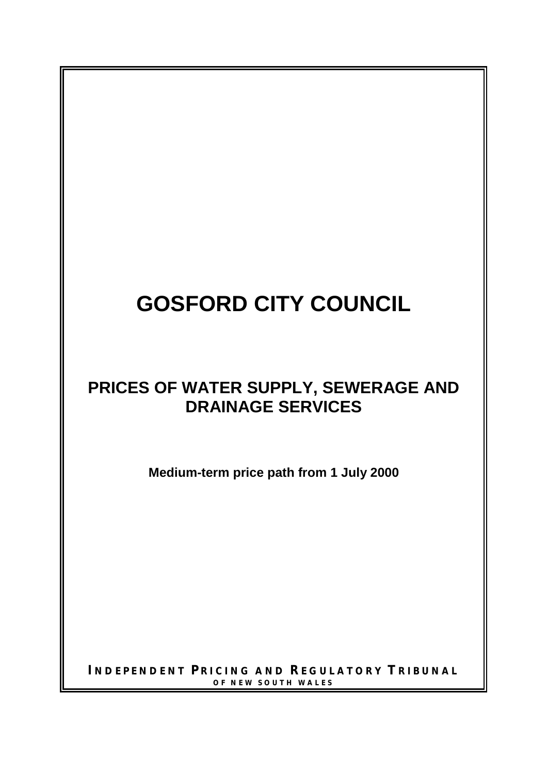# **GOSFORD CITY COUNCIL**

# **PRICES OF WATER SUPPLY, SEWERAGE AND DRAINAGE SERVICES**

**Medium-term price path from 1 July 2000**

**I NDEPENDENT P RICING AND REGULATORY T RIBUNAL OF NEW SOUTH WALES**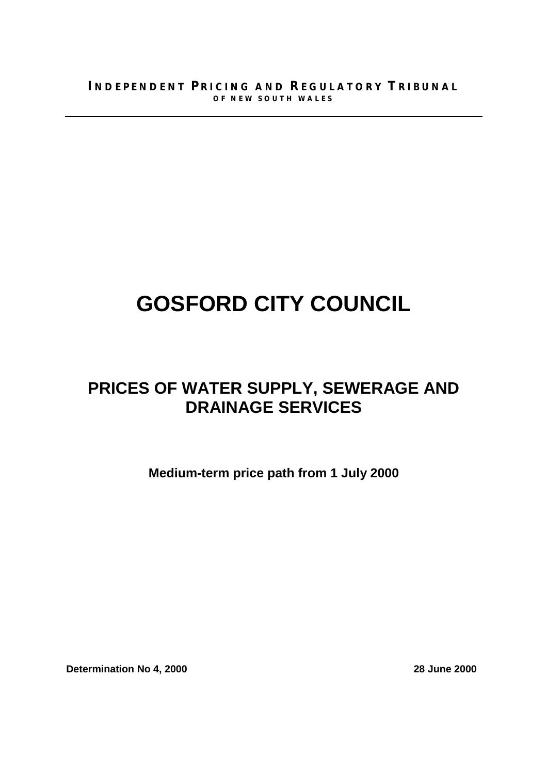# **GOSFORD CITY COUNCIL**

# **PRICES OF WATER SUPPLY, SEWERAGE AND DRAINAGE SERVICES**

**Medium-term price path from 1 July 2000**

**Determination No 4, 2000** 28 June 2000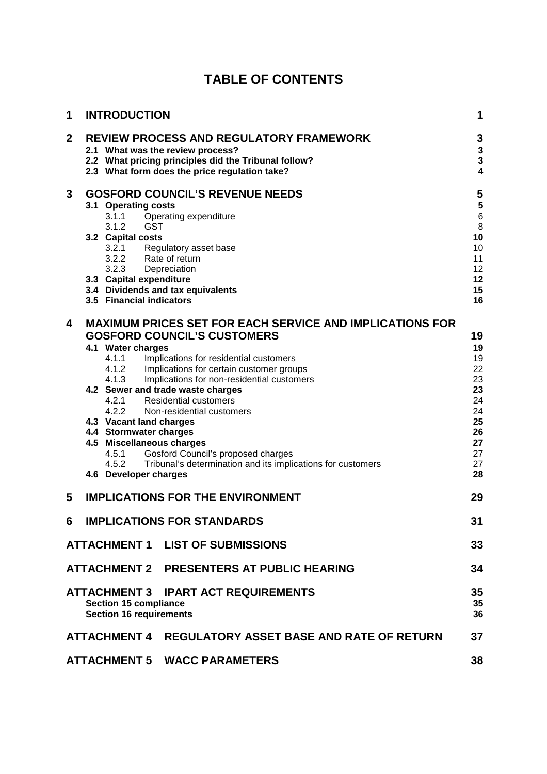| 1           | <b>INTRODUCTION</b>                                                            |                                                                                                                                                                                             | 1                                                                                  |
|-------------|--------------------------------------------------------------------------------|---------------------------------------------------------------------------------------------------------------------------------------------------------------------------------------------|------------------------------------------------------------------------------------|
| $\mathbf 2$ |                                                                                | <b>REVIEW PROCESS AND REGULATORY FRAMEWORK</b><br>2.1 What was the review process?<br>2.2 What pricing principles did the Tribunal follow?<br>2.3 What form does the price regulation take? | 3<br>$\overline{\mathbf{3}}$<br>$\overline{\mathbf{3}}$<br>$\overline{\mathbf{4}}$ |
| 3           |                                                                                | <b>GOSFORD COUNCIL'S REVENUE NEEDS</b>                                                                                                                                                      | 5                                                                                  |
|             | 3.1 Operating costs<br>3.1.1                                                   | Operating expenditure                                                                                                                                                                       | 5<br>$\overline{6}$                                                                |
|             | <b>GST</b><br>3.1.2                                                            |                                                                                                                                                                                             | 8                                                                                  |
|             | 3.2 Capital costs                                                              |                                                                                                                                                                                             | 10                                                                                 |
|             |                                                                                |                                                                                                                                                                                             | 10<br>11                                                                           |
|             |                                                                                | 3.2.1 Regulatory asset base<br>3.2.2 Rate of return<br>3.2.3 Depreciation                                                                                                                   | 12                                                                                 |
|             | 3.3 Capital expenditure                                                        |                                                                                                                                                                                             | 12                                                                                 |
|             |                                                                                | 3.4 Dividends and tax equivalents                                                                                                                                                           | 15                                                                                 |
|             | 3.5 Financial indicators                                                       |                                                                                                                                                                                             | 16                                                                                 |
| 4           |                                                                                | <b>MAXIMUM PRICES SET FOR EACH SERVICE AND IMPLICATIONS FOR</b>                                                                                                                             |                                                                                    |
|             |                                                                                | <b>GOSFORD COUNCIL'S CUSTOMERS</b>                                                                                                                                                          | 19                                                                                 |
|             | 4.1 Water charges                                                              |                                                                                                                                                                                             | 19                                                                                 |
|             | $4.1.1$<br>$4.1.2$<br>$4.1.3$                                                  | Implications for residential customers                                                                                                                                                      | 19                                                                                 |
|             |                                                                                | Implications for certain customer groups                                                                                                                                                    | 22                                                                                 |
|             |                                                                                | Implications for non-residential customers<br>4.2 Sewer and trade waste charges                                                                                                             | 23<br>23                                                                           |
|             |                                                                                | 4.2.1 Residential customers                                                                                                                                                                 | 24                                                                                 |
|             | 4.2.2                                                                          | Non-residential customers                                                                                                                                                                   | 24                                                                                 |
|             | 4.3 Vacant land charges                                                        |                                                                                                                                                                                             | 25                                                                                 |
|             | 4.4 Stormwater charges                                                         |                                                                                                                                                                                             | 26                                                                                 |
|             | 4.5 Miscellaneous charges                                                      |                                                                                                                                                                                             | 27                                                                                 |
|             | 4.5.1                                                                          | Gosford Council's proposed charges                                                                                                                                                          | 27                                                                                 |
|             | 4.5.2<br>4.6 Developer charges                                                 | Tribunal's determination and its implications for customers                                                                                                                                 | 27<br>28                                                                           |
|             |                                                                                |                                                                                                                                                                                             |                                                                                    |
| 5           |                                                                                | <b>IMPLICATIONS FOR THE ENVIRONMENT</b>                                                                                                                                                     | 29                                                                                 |
| 6           |                                                                                | <b>IMPLICATIONS FOR STANDARDS</b>                                                                                                                                                           | 31                                                                                 |
|             | <b>ATTACHMENT 1</b>                                                            | <b>LIST OF SUBMISSIONS</b>                                                                                                                                                                  | 33                                                                                 |
|             |                                                                                | ATTACHMENT 2 PRESENTERS AT PUBLIC HEARING                                                                                                                                                   | 34                                                                                 |
|             | ATTACHMENT 3<br><b>Section 15 compliance</b><br><b>Section 16 requirements</b> | <b>IPART ACT REQUIREMENTS</b>                                                                                                                                                               | 35<br>35<br>36                                                                     |
|             |                                                                                | ATTACHMENT 4 REGULATORY ASSET BASE AND RATE OF RETURN                                                                                                                                       | 37                                                                                 |
|             |                                                                                | <b>ATTACHMENT 5 WACC PARAMETERS</b>                                                                                                                                                         | 38                                                                                 |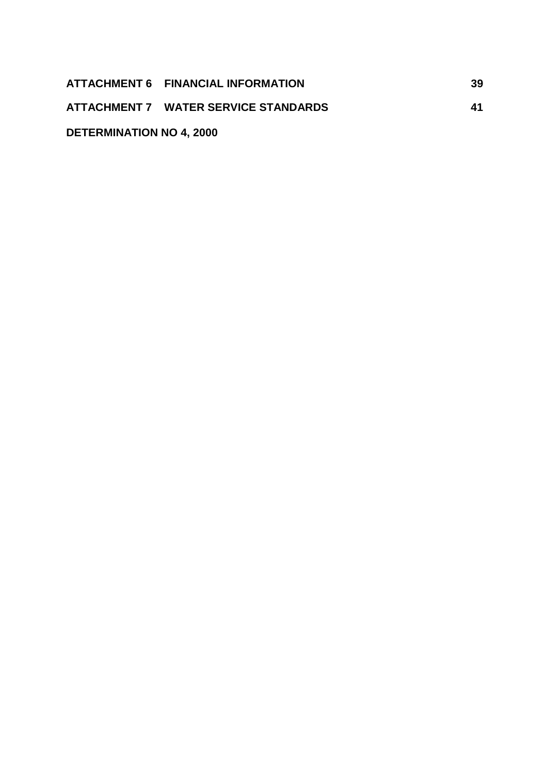|                                 | ATTACHMENT 6 FINANCIAL INFORMATION   | 39 |
|---------------------------------|--------------------------------------|----|
|                                 | ATTACHMENT 7 WATER SERVICE STANDARDS | 41 |
| <b>DETERMINATION NO 4, 2000</b> |                                      |    |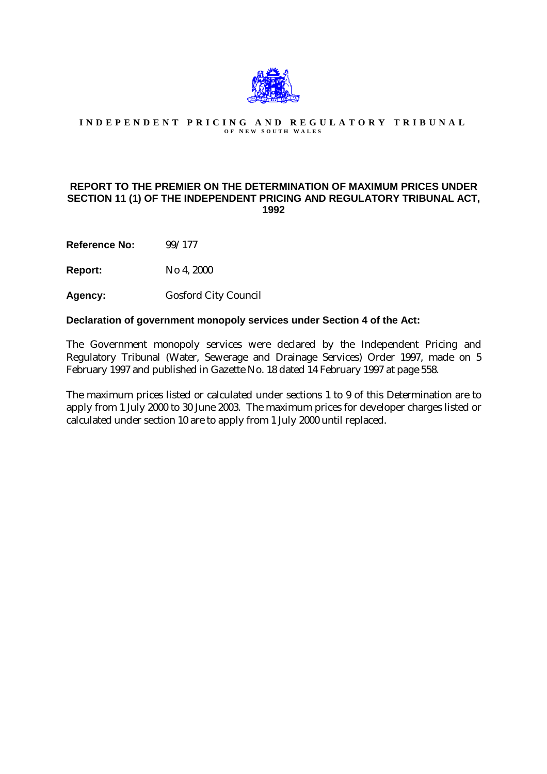

#### **INDEPENDENT PRICING AND REGULATORY TRIBUNAL O F N EW S OUTH W ALES**

#### **REPORT TO THE PREMIER ON THE DETERMINATION OF MAXIMUM PRICES UNDER SECTION 11 (1) OF THE INDEPENDENT PRICING AND REGULATORY TRIBUNAL ACT, 1992**

**Reference No:** 99/177

**Report:** No 4, 2000

**Agency:** Gosford City Council

#### **Declaration of government monopoly services under Section 4 of the Act:**

The Government monopoly services were declared by the Independent Pricing and Regulatory Tribunal (Water, Sewerage and Drainage Services) Order 1997, made on 5 February 1997 and published in Gazette No. 18 dated 14 February 1997 at page 558.

The maximum prices listed or calculated under sections 1 to 9 of this Determination are to apply from 1 July 2000 to 30 June 2003. The maximum prices for developer charges listed or calculated under section 10 are to apply from 1 July 2000 until replaced.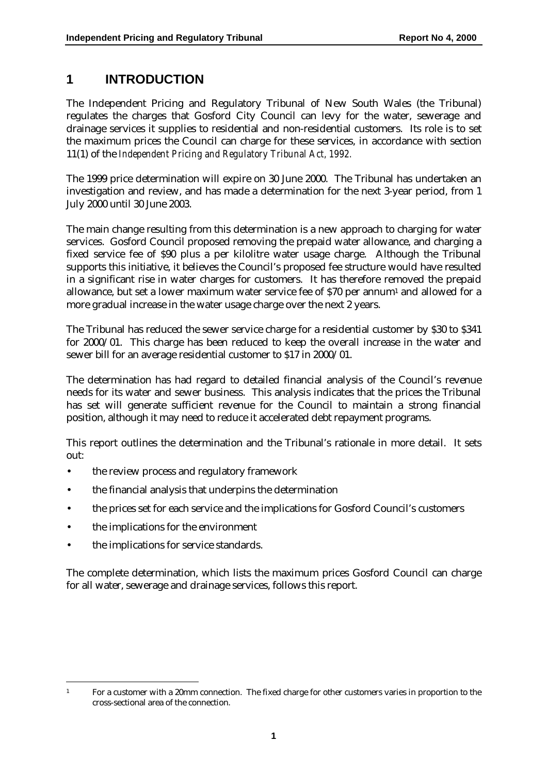### **1 INTRODUCTION**

The Independent Pricing and Regulatory Tribunal of New South Wales (the Tribunal) regulates the charges that Gosford City Council can levy for the water, sewerage and drainage services it supplies to residential and non-residential customers. Its role is to set the maximum prices the Council can charge for these services, in accordance with section 11(1) of the *Independent Pricing and Regulatory Tribunal Act, 1992.*

The 1999 price determination will expire on 30 June 2000. The Tribunal has undertaken an investigation and review, and has made a determination for the next 3-year period, from 1 July 2000 until 30 June 2003.

The main change resulting from this determination is a new approach to charging for water services. Gosford Council proposed removing the prepaid water allowance, and charging a fixed service fee of \$90 plus a per kilolitre water usage charge. Although the Tribunal supports this initiative, it believes the Council's proposed fee structure would have resulted in a significant rise in water charges for customers. It has therefore removed the prepaid allowance, but set a lower maximum water service fee of \$70 per annum1 and allowed for a more gradual increase in the water usage charge over the next 2 years.

The Tribunal has reduced the sewer service charge for a residential customer by \$30 to \$341 for 2000/01. This charge has been reduced to keep the overall increase in the water and sewer bill for an average residential customer to \$17 in 2000/01.

The determination has had regard to detailed financial analysis of the Council's revenue needs for its water and sewer business. This analysis indicates that the prices the Tribunal has set will generate sufficient revenue for the Council to maintain a strong financial position, although it may need to reduce it accelerated debt repayment programs.

This report outlines the determination and the Tribunal's rationale in more detail. It sets out:

- the review process and regulatory framework
- the financial analysis that underpins the determination
- the prices set for each service and the implications for Gosford Council's customers
- the implications for the environment
- the implications for service standards.

The complete determination, which lists the maximum prices Gosford Council can charge for all water, sewerage and drainage services, follows this report.

 $\overline{a}$ 

<sup>&</sup>lt;sup>1</sup> For a customer with a 20mm connection. The fixed charge for other customers varies in proportion to the cross-sectional area of the connection.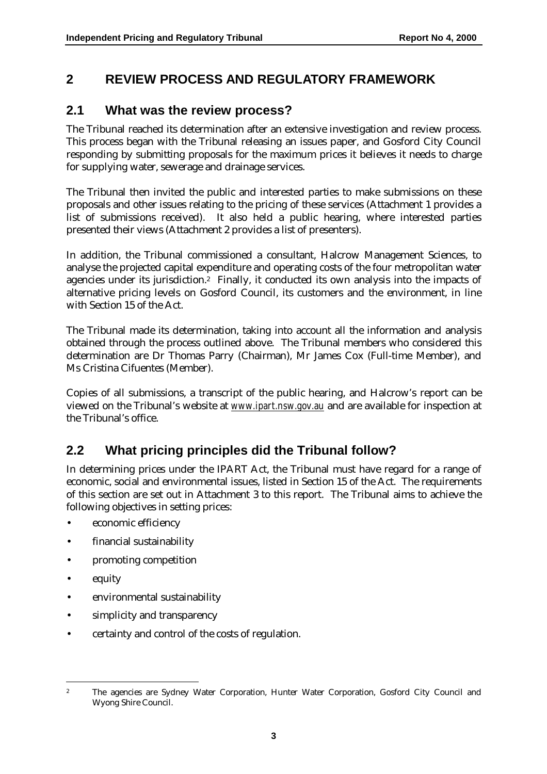# **2 REVIEW PROCESS AND REGULATORY FRAMEWORK**

### **2.1 What was the review process?**

The Tribunal reached its determination after an extensive investigation and review process. This process began with the Tribunal releasing an issues paper, and Gosford City Council responding by submitting proposals for the maximum prices it believes it needs to charge for supplying water, sewerage and drainage services.

The Tribunal then invited the public and interested parties to make submissions on these proposals and other issues relating to the pricing of these services (Attachment 1 provides a list of submissions received). It also held a public hearing, where interested parties presented their views (Attachment 2 provides a list of presenters).

In addition, the Tribunal commissioned a consultant, Halcrow Management Sciences, to analyse the projected capital expenditure and operating costs of the four metropolitan water agencies under its jurisdiction.2 Finally, it conducted its own analysis into the impacts of alternative pricing levels on Gosford Council, its customers and the environment, in line with Section 15 of the Act.

The Tribunal made its determination, taking into account all the information and analysis obtained through the process outlined above. The Tribunal members who considered this determination are Dr Thomas Parry (Chairman), Mr James Cox (Full-time Member), and Ms Cristina Cifuentes (Member).

Copies of all submissions, a transcript of the public hearing, and Halcrow's report can be viewed on the Tribunal's website at *www.ipart.nsw.gov.au* and are available for inspection at the Tribunal's office.

### **2.2 What pricing principles did the Tribunal follow?**

In determining prices under the IPART Act, the Tribunal must have regard for a range of economic, social and environmental issues, listed in Section 15 of the Act. The requirements of this section are set out in Attachment 3 to this report. The Tribunal aims to achieve the following objectives in setting prices:

- economic efficiency
- financial sustainability
- promoting competition
- equity
- environmental sustainability
- simplicity and transparency
- certainty and control of the costs of regulation.

 $\overline{a}$ <sup>2</sup> The agencies are Sydney Water Corporation, Hunter Water Corporation, Gosford City Council and Wyong Shire Council.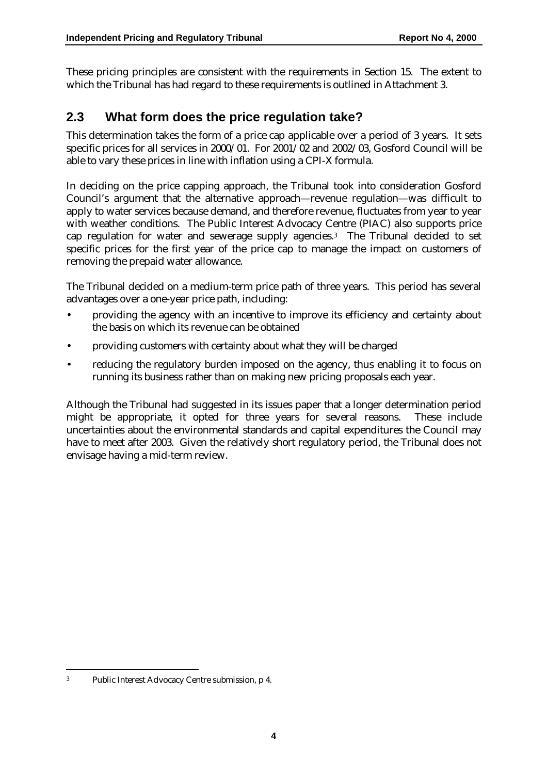These pricing principles are consistent with the requirements in Section 15. The extent to which the Tribunal has had regard to these requirements is outlined in Attachment 3.

### **2.3 What form does the price regulation take?**

This determination takes the form of a price cap applicable over a period of 3 years. It sets specific prices for all services in 2000/01. For 2001/02 and 2002/03, Gosford Council will be able to vary these prices in line with inflation using a CPI-X formula.

In deciding on the price capping approach, the Tribunal took into consideration Gosford Council's argument that the alternative approach—revenue regulation—was difficult to apply to water services because demand, and therefore revenue, fluctuates from year to year with weather conditions. The Public Interest Advocacy Centre (PIAC) also supports price cap regulation for water and sewerage supply agencies.3 The Tribunal decided to set specific prices for the first year of the price cap to manage the impact on customers of removing the prepaid water allowance.

The Tribunal decided on a medium-term price path of three years. This period has several advantages over a one-year price path, including:

- providing the agency with an incentive to improve its efficiency and certainty about the basis on which its revenue can be obtained
- providing customers with certainty about what they will be charged
- reducing the regulatory burden imposed on the agency, thus enabling it to focus on running its business rather than on making new pricing proposals each year.

Although the Tribunal had suggested in its issues paper that a longer determination period might be appropriate, it opted for three years for several reasons. These include uncertainties about the environmental standards and capital expenditures the Council may have to meet after 2003. Given the relatively short regulatory period, the Tribunal does not envisage having a mid-term review.

<sup>3</sup> Public Interest Advocacy Centre submission, p 4.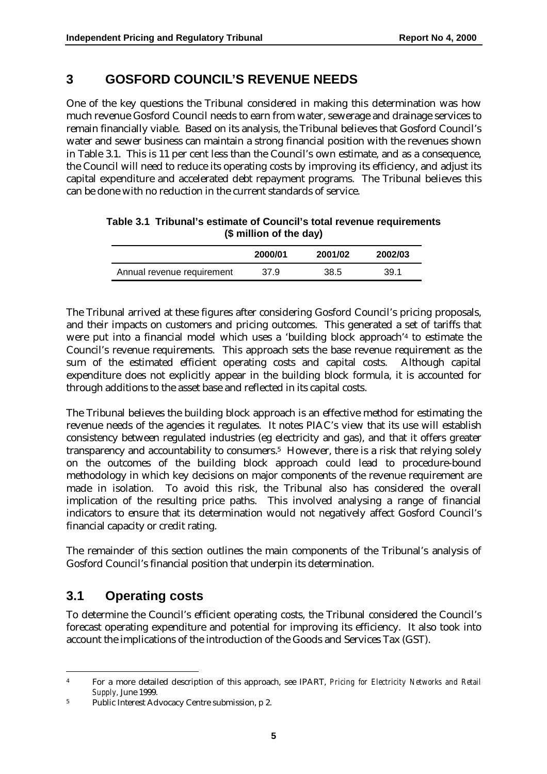### **3 GOSFORD COUNCIL'S REVENUE NEEDS**

One of the key questions the Tribunal considered in making this determination was how much revenue Gosford Council needs to earn from water, sewerage and drainage services to remain financially viable. Based on its analysis, the Tribunal believes that Gosford Council's water and sewer business can maintain a strong financial position with the revenues shown in Table 3.1. This is 11 per cent less than the Council's own estimate, and as a consequence, the Council will need to reduce its operating costs by improving its efficiency, and adjust its capital expenditure and accelerated debt repayment programs. The Tribunal believes this can be done with no reduction in the current standards of service.

|                            | 2000/01 | 2001/02 | 2002/03 |
|----------------------------|---------|---------|---------|
| Annual revenue requirement | 37.9    | 38.5    | 39.1    |

| Table 3.1 Tribunal's estimate of Council's total revenue requirements |
|-----------------------------------------------------------------------|
| (\$ million of the day)                                               |

The Tribunal arrived at these figures after considering Gosford Council's pricing proposals, and their impacts on customers and pricing outcomes. This generated a set of tariffs that were put into a financial model which uses a 'building block approach'4 to estimate the Council's revenue requirements. This approach sets the base revenue requirement as the sum of the estimated efficient operating costs and capital costs. Although capital expenditure does not explicitly appear in the building block formula, it is accounted for through additions to the asset base and reflected in its capital costs.

The Tribunal believes the building block approach is an effective method for estimating the revenue needs of the agencies it regulates. It notes PIAC's view that its use will establish consistency between regulated industries (eg electricity and gas), and that it offers greater transparency and accountability to consumers.<sup>5</sup> However, there is a risk that relying solely on the outcomes of the building block approach could lead to procedure-bound methodology in which key decisions on major components of the revenue requirement are made in isolation. To avoid this risk, the Tribunal also has considered the overall implication of the resulting price paths. This involved analysing a range of financial indicators to ensure that its determination would not negatively affect Gosford Council's financial capacity or credit rating.

The remainder of this section outlines the main components of the Tribunal's analysis of Gosford Council's financial position that underpin its determination.

### **3.1 Operating costs**

 $\overline{a}$ 

To determine the Council's efficient operating costs, the Tribunal considered the Council's forecast operating expenditure and potential for improving its efficiency. It also took into account the implications of the introduction of the Goods and Services Tax (GST).

<sup>4</sup> For a more detailed description of this approach, see IPART, *Pricing for Electricity Networks and Retail Supply,* June 1999.

<sup>5</sup> Public Interest Advocacy Centre submission, p 2.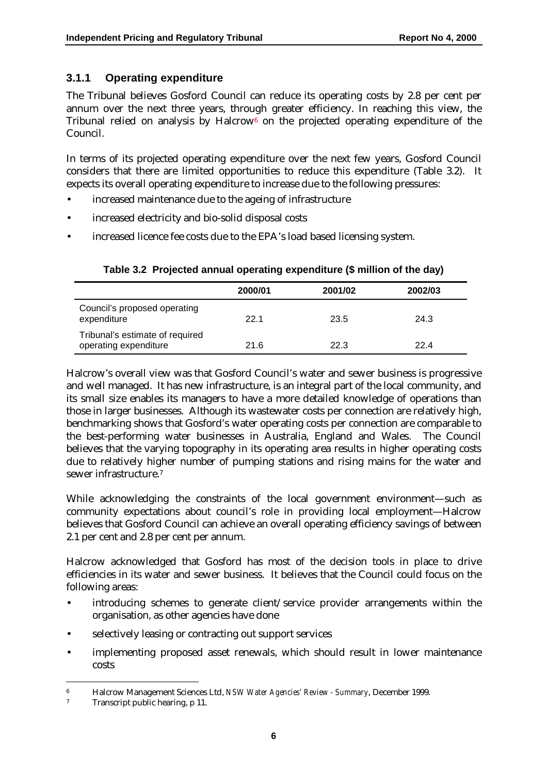#### **3.1.1 Operating expenditure**

The Tribunal believes Gosford Council can reduce its operating costs by 2.8 per cent per annum over the next three years, through greater efficiency. In reaching this view, the Tribunal relied on analysis by Halcrow<sup>6</sup> on the projected operating expenditure of the Council.

In terms of its projected operating expenditure over the next few years, Gosford Council considers that there are limited opportunities to reduce this expenditure (Table 3.2). It expects its overall operating expenditure to increase due to the following pressures:

- increased maintenance due to the ageing of infrastructure
- increased electricity and bio-solid disposal costs
- increased licence fee costs due to the EPA's load based licensing system.

|                                                          | 2000/01 | 2001/02 | 2002/03 |
|----------------------------------------------------------|---------|---------|---------|
| Council's proposed operating<br>expenditure              | 22.1    | 23.5    | 24.3    |
| Tribunal's estimate of required<br>operating expenditure | 21.6    | 22.3    | 22.4    |

#### **Table 3.2 Projected annual operating expenditure (\$ million of the day)**

Halcrow's overall view was that Gosford Council's water and sewer business is progressive and well managed. It has new infrastructure, is an integral part of the local community, and its small size enables its managers to have a more detailed knowledge of operations than those in larger businesses. Although its wastewater costs per connection are relatively high, benchmarking shows that Gosford's water operating costs per connection are comparable to the best-performing water businesses in Australia, England and Wales. The Council believes that the varying topography in its operating area results in higher operating costs due to relatively higher number of pumping stations and rising mains for the water and sewer infrastructure.7

While acknowledging the constraints of the local government environment—such as community expectations about council's role in providing local employment—Halcrow believes that Gosford Council can achieve an overall operating efficiency savings of between 2.1 per cent and 2.8 per cent per annum.

Halcrow acknowledged that Gosford has most of the decision tools in place to drive efficiencies in its water and sewer business. It believes that the Council could focus on the following areas:

- introducing schemes to generate client/service provider arrangements within the organisation, as other agencies have done
- selectively leasing or contracting out support services
- implementing proposed asset renewals, which should result in lower maintenance costs

<sup>6</sup> Halcrow Management Sciences Ltd, *NSW Water Agencies' Review - Summary*, December 1999.

<sup>7</sup> Transcript public hearing, p 11.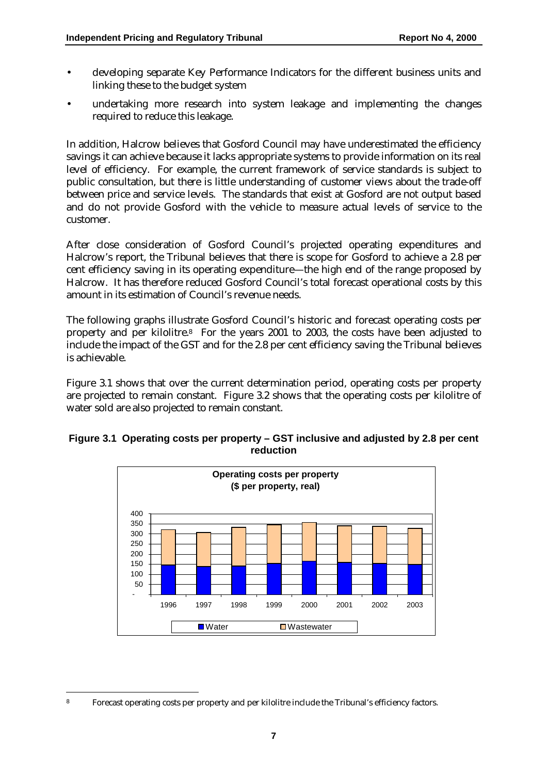- developing separate Key Performance Indicators for the different business units and linking these to the budget system
- undertaking more research into system leakage and implementing the changes required to reduce this leakage.

In addition, Halcrow believes that Gosford Council may have underestimated the efficiency savings it can achieve because it lacks appropriate systems to provide information on its real level of efficiency. For example, the current framework of service standards is subject to public consultation, but there is little understanding of customer views about the trade-off between price and service levels. The standards that exist at Gosford are not output based and do not provide Gosford with the vehicle to measure actual levels of service to the customer.

After close consideration of Gosford Council's projected operating expenditures and Halcrow's report, the Tribunal believes that there is scope for Gosford to achieve a 2.8 per cent efficiency saving in its operating expenditure—the high end of the range proposed by Halcrow. It has therefore reduced Gosford Council's total forecast operational costs by this amount in its estimation of Council's revenue needs.

The following graphs illustrate Gosford Council's historic and forecast operating costs per property and per kilolitre.8 For the years 2001 to 2003, the costs have been adjusted to include the impact of the GST and for the 2.8 per cent efficiency saving the Tribunal believes is achievable.

Figure 3.1 shows that over the current determination period, operating costs per property are projected to remain constant. Figure 3.2 shows that the operating costs per kilolitre of water sold are also projected to remain constant.



#### **Figure 3.1 Operating costs per property – GST inclusive and adjusted by 2.8 per cent reduction**

<sup>8</sup> Forecast operating costs per property and per kilolitre include the Tribunal's efficiency factors.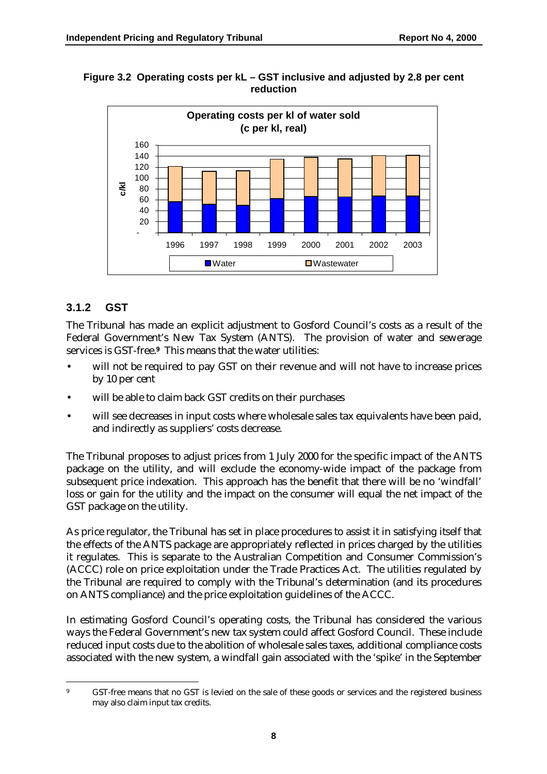

**Figure 3.2 Operating costs per kL – GST inclusive and adjusted by 2.8 per cent reduction**

#### **3.1.2 GST**

The Tribunal has made an explicit adjustment to Gosford Council's costs as a result of the Federal Government's New Tax System (ANTS). The provision of water and sewerage services is GST-free.**9** This means that the water utilities:

- will not be required to pay GST on their revenue and will not have to increase prices by 10 per cent
- will be able to claim back GST credits on their purchases
- will see decreases in input costs where wholesale sales tax equivalents have been paid, and indirectly as suppliers' costs decrease.

The Tribunal proposes to adjust prices from 1 July 2000 for the specific impact of the ANTS package on the utility, and will exclude the economy-wide impact of the package from subsequent price indexation. This approach has the benefit that there will be no 'windfall' loss or gain for the utility and the impact on the consumer will equal the net impact of the GST package on the utility.

As price regulator, the Tribunal has set in place procedures to assist it in satisfying itself that the effects of the ANTS package are appropriately reflected in prices charged by the utilities it regulates. This is separate to the Australian Competition and Consumer Commission's (ACCC) role on price exploitation under the Trade Practices Act. The utilities regulated by the Tribunal are required to comply with the Tribunal's determination (and its procedures on ANTS compliance) and the price exploitation guidelines of the ACCC.

In estimating Gosford Council's operating costs, the Tribunal has considered the various ways the Federal Government's new tax system could affect Gosford Council. These include reduced input costs due to the abolition of wholesale sales taxes, additional compliance costs associated with the new system, a windfall gain associated with the 'spike' in the September

 $\overline{a}$ 9 GST-free means that no GST is levied on the sale of these goods or services and the registered business may also claim input tax credits.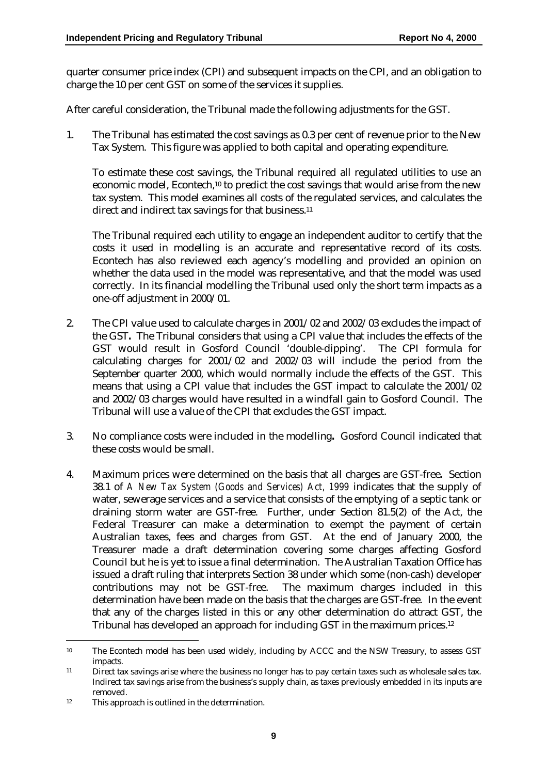quarter consumer price index (CPI) and subsequent impacts on the CPI, and an obligation to charge the 10 per cent GST on some of the services it supplies.

After careful consideration, the Tribunal made the following adjustments for the GST.

1. The Tribunal has estimated the cost savings as 0.3 per cent of revenue prior to the New Tax System. This figure was applied to both capital and operating expenditure.

To estimate these cost savings, the Tribunal required all regulated utilities to use an economic model, Econtech,10 to predict the cost savings that would arise from the new tax system. This model examines all costs of the regulated services, and calculates the direct and indirect tax savings for that business.<sup>11</sup>

The Tribunal required each utility to engage an independent auditor to certify that the costs it used in modelling is an accurate and representative record of its costs. Econtech has also reviewed each agency's modelling and provided an opinion on whether the data used in the model was representative, and that the model was used correctly. In its financial modelling the Tribunal used only the short term impacts as a one-off adjustment in 2000/01.

- 2. The CPI value used to calculate charges in 2001/02 and 2002/03 excludes the impact of the GST**.** The Tribunal considers that using a CPI value that includes the effects of the GST would result in Gosford Council 'double-dipping'. The CPI formula for calculating charges for 2001/02 and 2002/03 will include the period from the September quarter 2000, which would normally include the effects of the GST. This means that using a CPI value that includes the GST impact to calculate the 2001/02 and 2002/03 charges would have resulted in a windfall gain to Gosford Council. The Tribunal will use a value of the CPI that excludes the GST impact.
- 3. No compliance costs were included in the modelling**.** Gosford Council indicated that these costs would be small.
- 4. Maximum prices were determined on the basis that all charges are GST-free**.** Section 38.1 of *A New Tax System (Goods and Services) Act, 1999* indicates that the supply of water, sewerage services and a service that consists of the emptying of a septic tank or draining storm water are GST-free. Further, under Section 81.5(2) of the Act, the Federal Treasurer can make a determination to exempt the payment of certain Australian taxes, fees and charges from GST. At the end of January 2000, the Treasurer made a draft determination covering some charges affecting Gosford Council but he is yet to issue a final determination. The Australian Taxation Office has issued a draft ruling that interprets Section 38 under which some (non-cash) developer contributions may not be GST-free. The maximum charges included in this determination have been made on the basis that the charges are GST-free. In the event that any of the charges listed in this or any other determination do attract GST, the Tribunal has developed an approach for including GST in the maximum prices.12

<sup>10</sup> The Econtech model has been used widely, including by ACCC and the NSW Treasury, to assess GST impacts.

<sup>11</sup> Direct tax savings arise where the business no longer has to pay certain taxes such as wholesale sales tax. Indirect tax savings arise from the business's supply chain, as taxes previously embedded in its inputs are removed.

<sup>12</sup> This approach is outlined in the determination.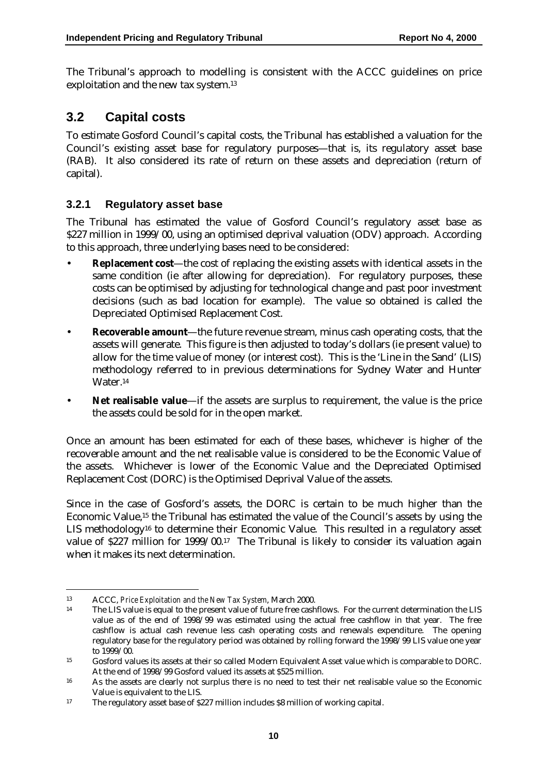The Tribunal's approach to modelling is consistent with the ACCC guidelines on price exploitation and the new tax system.13

### **3.2 Capital costs**

To estimate Gosford Council's capital costs, the Tribunal has established a valuation for the Council's existing asset base for regulatory purposes—that is, its regulatory asset base (RAB). It also considered its rate of return on these assets and depreciation (return of capital).

#### **3.2.1 Regulatory asset base**

The Tribunal has estimated the value of Gosford Council's regulatory asset base as \$227 million in 1999/00, using an optimised deprival valuation (ODV) approach. According to this approach, three underlying bases need to be considered:

- **Replacement cost**—the cost of replacing the existing assets with identical assets in the same condition (ie after allowing for depreciation). For regulatory purposes, these costs can be optimised by adjusting for technological change and past poor investment decisions (such as bad location for example). The value so obtained is called the Depreciated Optimised Replacement Cost.
- **Recoverable amount**—the future revenue stream, minus cash operating costs, that the assets will generate. This figure is then adjusted to today's dollars (ie present value) to allow for the time value of money (or interest cost). This is the 'Line in the Sand' (LIS) methodology referred to in previous determinations for Sydney Water and Hunter Water.14
- **Net realisable value**—if the assets are surplus to requirement, the value is the price the assets could be sold for in the open market.

Once an amount has been estimated for each of these bases, whichever is higher of the recoverable amount and the net realisable value is considered to be the Economic Value of the assets. Whichever is lower of the Economic Value and the Depreciated Optimised Replacement Cost (DORC) is the Optimised Deprival Value of the assets.

Since in the case of Gosford's assets, the DORC is certain to be much higher than the Economic Value,15 the Tribunal has estimated the value of the Council's assets by using the LIS methodology<sup>16</sup> to determine their Economic Value. This resulted in a regulatory asset value of \$227 million for 1999/00.17 The Tribunal is likely to consider its valuation again when it makes its next determination.

 $\ddot{\phantom{a}}$ 13 ACCC, *Price Exploitation and the New Tax System*, March 2000.

The LIS value is equal to the present value of future free cashflows. For the current determination the LIS value as of the end of 1998/99 was estimated using the actual free cashflow in that year. The free cashflow is actual cash revenue less cash operating costs and renewals expenditure. The opening regulatory base for the regulatory period was obtained by rolling forward the 1998/99 LIS value one year to 1999/00.

<sup>15</sup> Gosford values its assets at their so called Modern Equivalent Asset value which is comparable to DORC. At the end of 1998/99 Gosford valued its assets at \$525 million.

<sup>16</sup> As the assets are clearly not surplus there is no need to test their net realisable value so the Economic Value is equivalent to the LIS.

<sup>17</sup> The regulatory asset base of \$227 million includes \$8 million of working capital.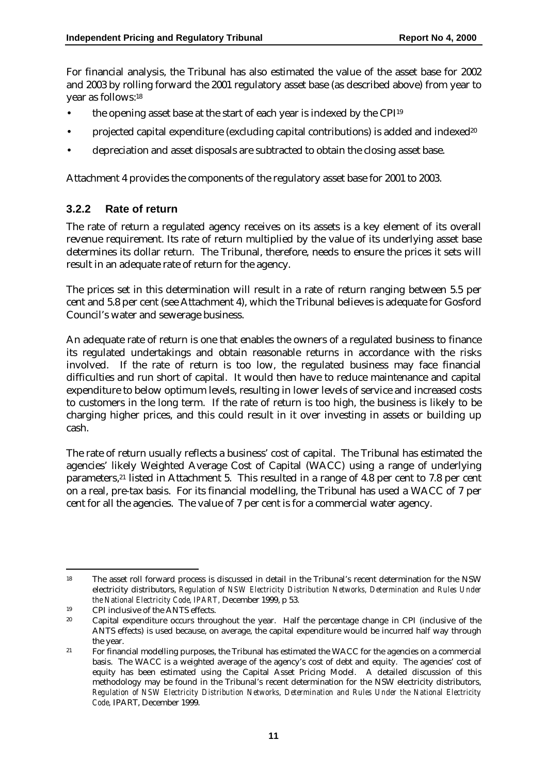For financial analysis, the Tribunal has also estimated the value of the asset base for 2002 and 2003 by rolling forward the 2001 regulatory asset base (as described above) from year to year as follows:18

- the opening asset base at the start of each year is indexed by the CPI19
- projected capital expenditure (excluding capital contributions) is added and indexed<sup>20</sup>
- depreciation and asset disposals are subtracted to obtain the closing asset base.

Attachment 4 provides the components of the regulatory asset base for 2001 to 2003.

#### **3.2.2 Rate of return**

The rate of return a regulated agency receives on its assets is a key element of its overall revenue requirement. Its rate of return multiplied by the value of its underlying asset base determines its dollar return. The Tribunal, therefore, needs to ensure the prices it sets will result in an adequate rate of return for the agency.

The prices set in this determination will result in a rate of return ranging between 5.5 per cent and 5.8 per cent (see Attachment 4), which the Tribunal believes is adequate for Gosford Council's water and sewerage business.

An adequate rate of return is one that enables the owners of a regulated business to finance its regulated undertakings and obtain reasonable returns in accordance with the risks involved. If the rate of return is too low, the regulated business may face financial difficulties and run short of capital. It would then have to reduce maintenance and capital expenditure to below optimum levels, resulting in lower levels of service and increased costs to customers in the long term. If the rate of return is too high, the business is likely to be charging higher prices, and this could result in it over investing in assets or building up cash.

The rate of return usually reflects a business' cost of capital. The Tribunal has estimated the agencies' likely Weighted Average Cost of Capital (WACC) using a range of underlying parameters,<sup>21</sup> listed in Attachment 5. This resulted in a range of 4.8 per cent to 7.8 per cent on a real, pre-tax basis. For its financial modelling, the Tribunal has used a WACC of 7 per cent for all the agencies. The value of 7 per cent is for a commercial water agency.

 $\overline{a}$ 18 The asset roll forward process is discussed in detail in the Tribunal's recent determination for the NSW electricity distributors, *Regulation of NSW Electricity Distribution Networks, Determination and Rules Under the National Electricity Code, IPART,* December 1999, p 53.

<sup>&</sup>lt;sup>19</sup> CPI inclusive of the ANTS effects.<br><sup>20</sup> Capital expenditure occurs through

<sup>20</sup> Capital expenditure occurs throughout the year. Half the percentage change in CPI (inclusive of the ANTS effects) is used because, on average, the capital expenditure would be incurred half way through the year.

<sup>&</sup>lt;sup>21</sup> For financial modelling purposes, the Tribunal has estimated the WACC for the agencies on a commercial basis. The WACC is a weighted average of the agency's cost of debt and equity. The agencies' cost of equity has been estimated using the Capital Asset Pricing Model. A detailed discussion of this methodology may be found in the Tribunal's recent determination for the NSW electricity distributors, *Regulation of NSW Electricity Distribution Networks, Determination and Rules Under the National Electricity Code,* IPART, December 1999.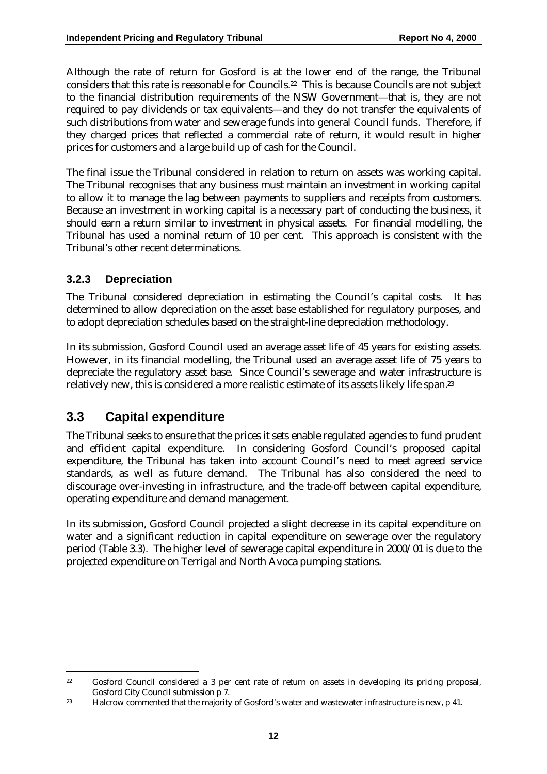Although the rate of return for Gosford is at the lower end of the range, the Tribunal considers that this rate is reasonable for Councils.22 This is because Councils are not subject to the financial distribution requirements of the NSW Government—that is, they are not required to pay dividends or tax equivalents—and they do not transfer the equivalents of such distributions from water and sewerage funds into general Council funds. Therefore, if they charged prices that reflected a commercial rate of return, it would result in higher prices for customers and a large build up of cash for the Council.

The final issue the Tribunal considered in relation to return on assets was working capital. The Tribunal recognises that any business must maintain an investment in working capital to allow it to manage the lag between payments to suppliers and receipts from customers. Because an investment in working capital is a necessary part of conducting the business, it should earn a return similar to investment in physical assets. For financial modelling, the Tribunal has used a nominal return of 10 per cent. This approach is consistent with the Tribunal's other recent determinations.

### **3.2.3 Depreciation**

The Tribunal considered depreciation in estimating the Council's capital costs. It has determined to allow depreciation on the asset base established for regulatory purposes, and to adopt depreciation schedules based on the straight-line depreciation methodology.

In its submission, Gosford Council used an average asset life of 45 years for existing assets. However, in its financial modelling, the Tribunal used an average asset life of 75 years to depreciate the regulatory asset base. Since Council's sewerage and water infrastructure is relatively new, this is considered a more realistic estimate of its assets likely life span.23

### **3.3 Capital expenditure**

 $\overline{a}$ 

The Tribunal seeks to ensure that the prices it sets enable regulated agencies to fund prudent and efficient capital expenditure. In considering Gosford Council's proposed capital expenditure, the Tribunal has taken into account Council's need to meet agreed service standards, as well as future demand. The Tribunal has also considered the need to discourage over-investing in infrastructure, and the trade-off between capital expenditure, operating expenditure and demand management.

In its submission, Gosford Council projected a slight decrease in its capital expenditure on water and a significant reduction in capital expenditure on sewerage over the regulatory period (Table 3.3). The higher level of sewerage capital expenditure in 2000/01 is due to the projected expenditure on Terrigal and North Avoca pumping stations.

<sup>22</sup> Gosford Council considered a 3 per cent rate of return on assets in developing its pricing proposal, Gosford City Council submission p 7.

<sup>23</sup> Halcrow commented that the majority of Gosford's water and wastewater infrastructure is new, p 41.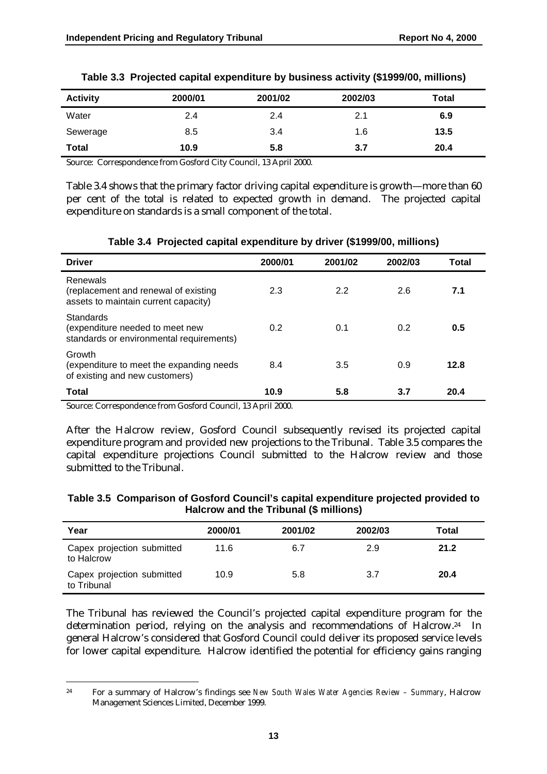| <b>Activity</b> | 2000/01 | 2001/02 | 2002/03 | Total |
|-----------------|---------|---------|---------|-------|
| Water           | 2.4     | 2.4     | 2.1     | 6.9   |
| Sewerage        | 8.5     | 3.4     | 1.6     | 13.5  |
| Total           | 10.9    | 5.8     | 3.7     | 20.4  |

|  |  |  |  | Table 3.3 Projected capital expenditure by business activity (\$1999/00, millions) |  |
|--|--|--|--|------------------------------------------------------------------------------------|--|
|--|--|--|--|------------------------------------------------------------------------------------|--|

Source: Correspondence from Gosford City Council, 13 April 2000.

Table 3.4 shows that the primary factor driving capital expenditure is growth—more than 60 per cent of the total is related to expected growth in demand. The projected capital expenditure on standards is a small component of the total.

| <b>Driver</b>                                                                            | 2000/01 | 2001/02 | 2002/03 | Total |
|------------------------------------------------------------------------------------------|---------|---------|---------|-------|
| Renewals<br>(replacement and renewal of existing<br>assets to maintain current capacity) | 2.3     | 2.2     | 2.6     | 7.1   |
| Standards<br>(expenditure needed to meet new<br>standards or environmental requirements) | 0.2     | 0.1     | 0.2     | 0.5   |
| Growth<br>(expenditure to meet the expanding needs)<br>of existing and new customers)    | 8.4     | 3.5     | 0.9     | 12.8  |
| Total                                                                                    | 10.9    | 5.8     | 3.7     | 20.4  |

#### **Table 3.4 Projected capital expenditure by driver (\$1999/00, millions)**

Source: Correspondence from Gosford Council, 13 April 2000.

After the Halcrow review, Gosford Council subsequently revised its projected capital expenditure program and provided new projections to the Tribunal. Table 3.5 compares the capital expenditure projections Council submitted to the Halcrow review and those submitted to the Tribunal.

| Table 3.5 Comparison of Gosford Council's capital expenditure projected provided to |
|-------------------------------------------------------------------------------------|
| Halcrow and the Tribunal (\$ millions)                                              |

| Year                                      | 2000/01 | 2001/02 | 2002/03 | Total |
|-------------------------------------------|---------|---------|---------|-------|
| Capex projection submitted<br>to Halcrow  | 11.6    | 6.7     | 2.9     | 21.2  |
| Capex projection submitted<br>to Tribunal | 10.9    | 5.8     | 3.7     | 20.4  |

The Tribunal has reviewed the Council's projected capital expenditure program for the determination period, relying on the analysis and recommendations of Halcrow.24 In general Halcrow's considered that Gosford Council could deliver its proposed service levels for lower capital expenditure. Halcrow identified the potential for efficiency gains ranging

 $\overline{a}$ 24 For a summary of Halcrow's findings see *New South Wales Water Agencies Review – Summary*, Halcrow Management Sciences Limited, December 1999.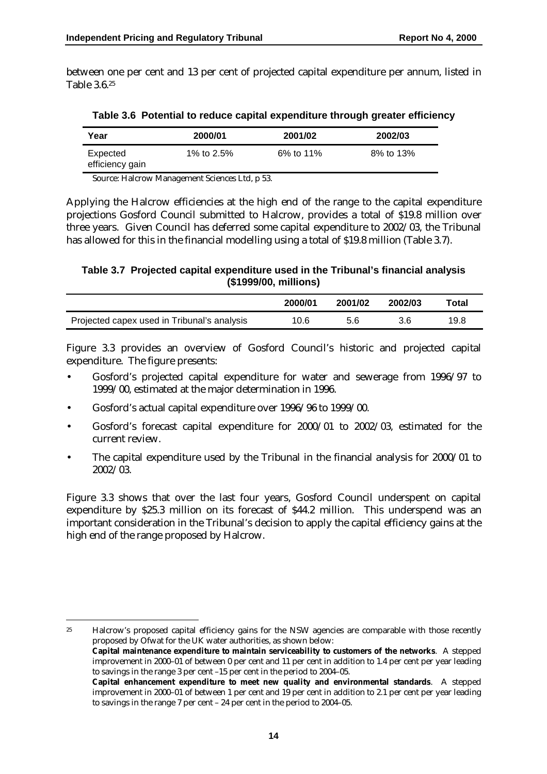between one per cent and 13 per cent of projected capital expenditure per annum, listed in Table 3.6.25

| Year                        | 2000/01    | 2001/02   | 2002/03   |
|-----------------------------|------------|-----------|-----------|
| Expected<br>efficiency gain | 1% to 2.5% | 6% to 11% | 8% to 13% |

**Table 3.6 Potential to reduce capital expenditure through greater efficiency**

Source: Halcrow Management Sciences Ltd, p 53.

Applying the Halcrow efficiencies at the high end of the range to the capital expenditure projections Gosford Council submitted to Halcrow, provides a total of \$19.8 million over three years. Given Council has deferred some capital expenditure to 2002/03, the Tribunal has allowed for this in the financial modelling using a total of \$19.8 million (Table 3.7).

#### **Table 3.7 Projected capital expenditure used in the Tribunal's financial analysis (\$1999/00, millions)**

|                                             | 2000/01 | 2001/02 | 2002/03 | ™otal |
|---------------------------------------------|---------|---------|---------|-------|
| Projected capex used in Tribunal's analysis | 10.6    | 5.6     |         | 19.8  |

Figure 3.3 provides an overview of Gosford Council's historic and projected capital expenditure. The figure presents:

- Gosford's projected capital expenditure for water and sewerage from 1996/97 to 1999/00, estimated at the major determination in 1996.
- Gosford's actual capital expenditure over 1996/96 to 1999/00.

 $\overline{a}$ 

- Gosford's forecast capital expenditure for 2000/01 to 2002/03, estimated for the current review.
- The capital expenditure used by the Tribunal in the financial analysis for 2000/01 to 2002/03.

Figure 3.3 shows that over the last four years, Gosford Council underspent on capital expenditure by \$25.3 million on its forecast of \$44.2 million. This underspend was an important consideration in the Tribunal's decision to apply the capital efficiency gains at the high end of the range proposed by Halcrow.

<sup>25</sup> Halcrow's proposed capital efficiency gains for the NSW agencies are comparable with those recently proposed by Ofwat for the UK water authorities, as shown below: **Capital maintenance expenditure to maintain serviceability to customers of the networks**. A stepped

improvement in 2000–01 of between 0 per cent and 11 per cent in addition to 1.4 per cent per year leading to savings in the range 3 per cent –15 per cent in the period to 2004–05.

**Capital enhancement expenditure to meet new quality and environmental standards**. A stepped improvement in 2000–01 of between 1 per cent and 19 per cent in addition to 2.1 per cent per year leading to savings in the range 7 per cent – 24 per cent in the period to 2004–05.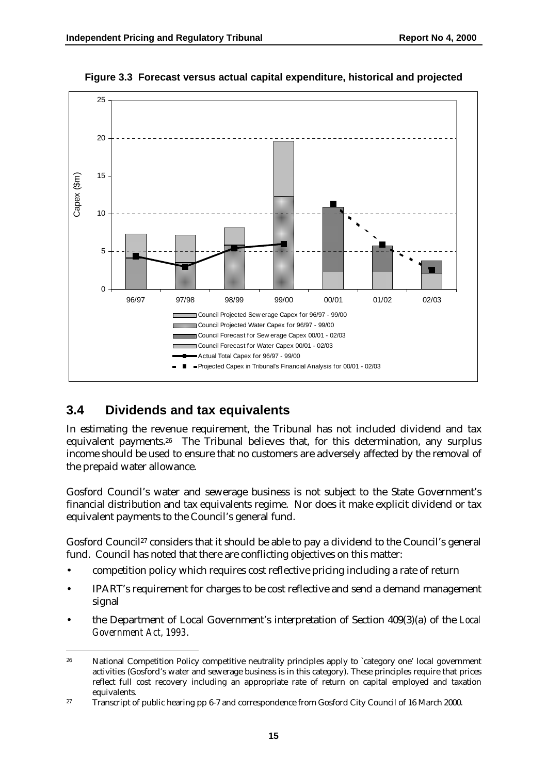

**Figure 3.3 Forecast versus actual capital expenditure, historical and projected**

### **3.4 Dividends and tax equivalents**

In estimating the revenue requirement, the Tribunal has not included dividend and tax equivalent payments.26 The Tribunal believes that, for this determination, any surplus income should be used to ensure that no customers are adversely affected by the removal of the prepaid water allowance.

Gosford Council's water and sewerage business is not subject to the State Government's financial distribution and tax equivalents regime. Nor does it make explicit dividend or tax equivalent payments to the Council's general fund.

Gosford Council<sup>27</sup> considers that it should be able to pay a dividend to the Council's general fund. Council has noted that there are conflicting objectives on this matter:

- competition policy which requires cost reflective pricing including a rate of return
- IPART's requirement for charges to be cost reflective and send a demand management signal
- the Department of Local Government's interpretation of Section 409(3)(a) of the *Local Government Act, 1993*.

 $\ddot{\phantom{a}}$ <sup>26</sup> National Competition Policy competitive neutrality principles apply to `category one' local government activities (Gosford's water and sewerage business is in this category). These principles require that prices reflect full cost recovery including an appropriate rate of return on capital employed and taxation equivalents.

<sup>27</sup> Transcript of public hearing pp 6-7 and correspondence from Gosford City Council of 16 March 2000.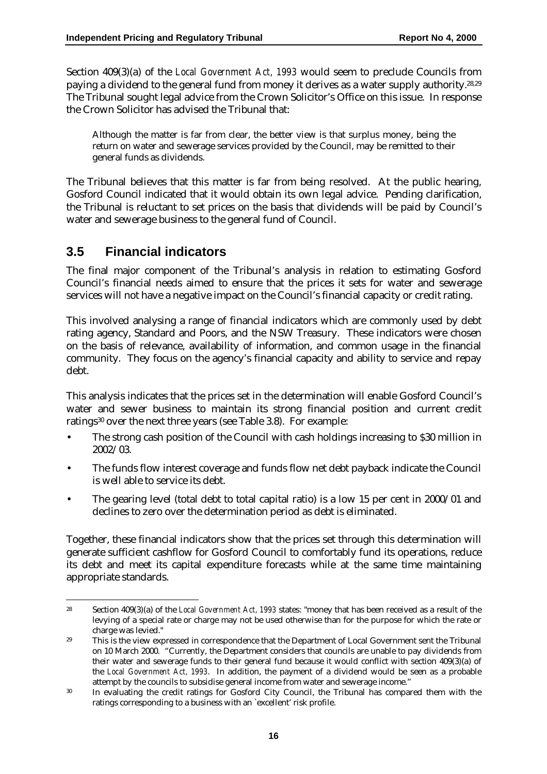Section 409(3)(a) of the *Local Government Act, 1993* would seem to preclude Councils from paying a dividend to the general fund from money it derives as a water supply authority.28,29 The Tribunal sought legal advice from the Crown Solicitor's Office on this issue. In response the Crown Solicitor has advised the Tribunal that:

Although the matter is far from clear, the better view is that surplus money, being the return on water and sewerage services provided by the Council, may be remitted to their general funds as dividends.

The Tribunal believes that this matter is far from being resolved. At the public hearing, Gosford Council indicated that it would obtain its own legal advice. Pending clarification, the Tribunal is reluctant to set prices on the basis that dividends will be paid by Council's water and sewerage business to the general fund of Council.

### **3.5 Financial indicators**

 $\overline{a}$ 

The final major component of the Tribunal's analysis in relation to estimating Gosford Council's financial needs aimed to ensure that the prices it sets for water and sewerage services will not have a negative impact on the Council's financial capacity or credit rating.

This involved analysing a range of financial indicators which are commonly used by debt rating agency, Standard and Poors, and the NSW Treasury. These indicators were chosen on the basis of relevance, availability of information, and common usage in the financial community. They focus on the agency's financial capacity and ability to service and repay debt.

This analysis indicates that the prices set in the determination will enable Gosford Council's water and sewer business to maintain its strong financial position and current credit ratings<sup>30</sup> over the next three years (see Table 3.8). For example:

- The strong cash position of the Council with cash holdings increasing to \$30 million in 2002/03.
- The funds flow interest coverage and funds flow net debt payback indicate the Council is well able to service its debt.
- The gearing level (total debt to total capital ratio) is a low 15 per cent in 2000/01 and declines to zero over the determination period as debt is eliminated.

Together, these financial indicators show that the prices set through this determination will generate sufficient cashflow for Gosford Council to comfortably fund its operations, reduce its debt and meet its capital expenditure forecasts while at the same time maintaining appropriate standards.

<sup>28</sup> Section 409(3)(a) of the *Local Government Act, 1993* states: "money that has been received as a result of the levying of a special rate or charge may not be used otherwise than for the purpose for which the rate or charge was levied."

<sup>&</sup>lt;sup>29</sup> This is the view expressed in correspondence that the Department of Local Government sent the Tribunal on 10 March 2000. "Currently, the Department considers that councils are unable to pay dividends from their water and sewerage funds to their general fund because it would conflict with section 409(3)(a) of the *Local Government Act, 1993*. In addition, the payment of a dividend would be seen as a probable attempt by the councils to subsidise general income from water and sewerage income."

<sup>30</sup> In evaluating the credit ratings for Gosford City Council, the Tribunal has compared them with the ratings corresponding to a business with an `excellent' risk profile.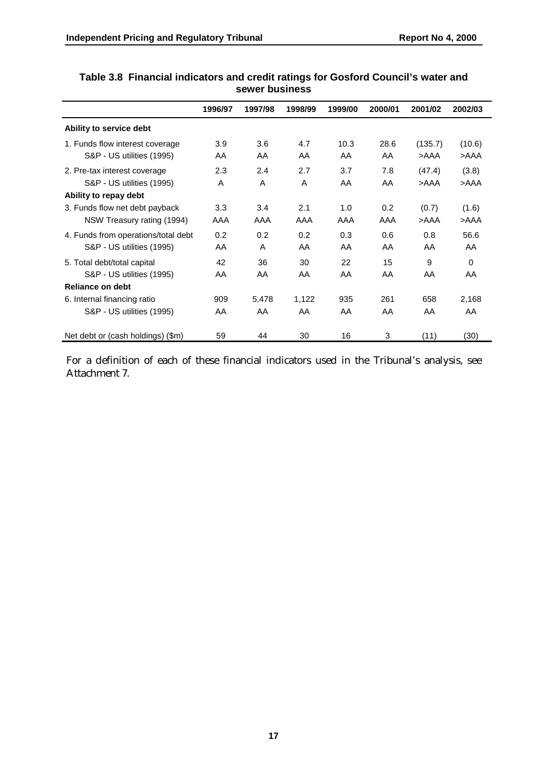|                                     | 1996/97 | 1997/98 | 1998/99 | 1999/00 | 2000/01 | 2001/02 | 2002/03  |  |
|-------------------------------------|---------|---------|---------|---------|---------|---------|----------|--|
| Ability to service debt             |         |         |         |         |         |         |          |  |
| 1. Funds flow interest coverage     | 3.9     | 3.6     | 4.7     | 10.3    | 28.6    | (135.7) | (10.6)   |  |
| S&P - US utilities (1995)           | AA      | AA      | AA      | AA      | AA      | >AAA    | >AAA     |  |
| 2. Pre-tax interest coverage        | 2.3     | 2.4     | 2.7     | 3.7     | 7.8     | (47.4)  | (3.8)    |  |
| S&P - US utilities (1995)           | A       | A       | A       | AA      | AA      | >AAA    | >AAA     |  |
| Ability to repay debt               |         |         |         |         |         |         |          |  |
| 3. Funds flow net debt payback      | 3.3     | 3.4     | 2.1     | 1.0     | 0.2     | (0.7)   | (1.6)    |  |
| NSW Treasury rating (1994)          | AAA     | AAA     | AAA     | AAA     | AAA     | >AAA    | >AAA     |  |
| 4. Funds from operations/total debt | 0.2     | 0.2     | 0.2     | 0.3     | 0.6     | 0.8     | 56.6     |  |
| S&P - US utilities (1995)           | AA      | A       | AA      | AA      | AA      | AA      | AA       |  |
| 5. Total debt/total capital         | 42      | 36      | 30      | 22      | 15      | 9       | $\Omega$ |  |
| S&P - US utilities (1995)           | AA      | AA      | AA      | AA      | AA      | AA      | AA       |  |
| <b>Reliance on debt</b>             |         |         |         |         |         |         |          |  |
| 6. Internal financing ratio         | 909     | 5,478   | 1,122   | 935     | 261     | 658     | 2,168    |  |
| S&P - US utilities (1995)           | AA      | AA      | AA      | AA      | AA      | AA      | AA       |  |
| Net debt or (cash holdings) (\$m)   | 59      | 44      | 30      | 16      | 3       | (11)    | (30)     |  |

#### **Table 3.8 Financial indicators and credit ratings for Gosford Council's water and sewer business**

For a definition of each of these financial indicators used in the Tribunal's analysis, see Attachment 7.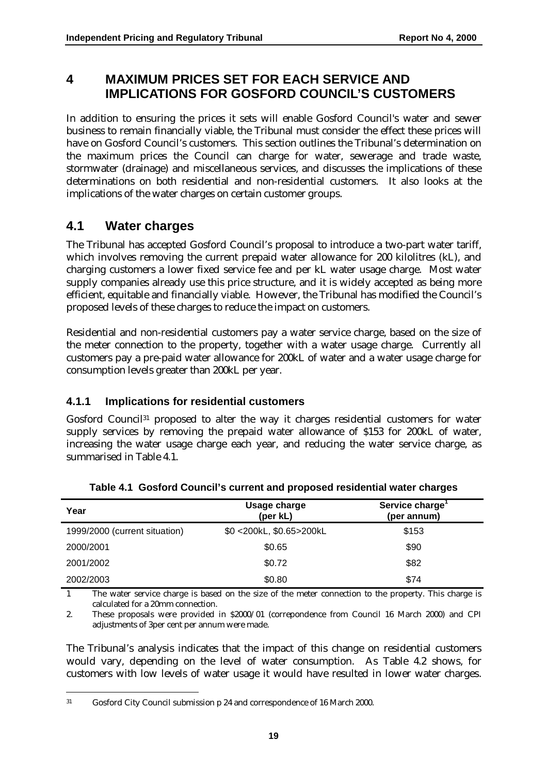### **4 MAXIMUM PRICES SET FOR EACH SERVICE AND IMPLICATIONS FOR GOSFORD COUNCIL'S CUSTOMERS**

In addition to ensuring the prices it sets will enable Gosford Council's water and sewer business to remain financially viable, the Tribunal must consider the effect these prices will have on Gosford Council's customers. This section outlines the Tribunal's determination on the maximum prices the Council can charge for water, sewerage and trade waste, stormwater (drainage) and miscellaneous services, and discusses the implications of these determinations on both residential and non-residential customers. It also looks at the implications of the water charges on certain customer groups.

### **4.1 Water charges**

The Tribunal has accepted Gosford Council's proposal to introduce a two-part water tariff, which involves removing the current prepaid water allowance for 200 kilolitres (kL), and charging customers a lower fixed service fee and per kL water usage charge. Most water supply companies already use this price structure, and it is widely accepted as being more efficient, equitable and financially viable. However, the Tribunal has modified the Council's proposed levels of these charges to reduce the impact on customers.

Residential and non-residential customers pay a water service charge, based on the size of the meter connection to the property, together with a water usage charge. Currently all customers pay a pre-paid water allowance for 200kL of water and a water usage charge for consumption levels greater than 200kL per year.

### **4.1.1 Implications for residential customers**

Gosford Council<sup>31</sup> proposed to alter the way it charges residential customers for water supply services by removing the prepaid water allowance of \$153 for 200kL of water, increasing the water usage charge each year, and reducing the water service charge, as summarised in Table 4.1.

| Year                          | Usage charge<br>(per kL) | Service charge<br>(per annum) |  |
|-------------------------------|--------------------------|-------------------------------|--|
| 1999/2000 (current situation) | \$0 <200kL, \$0.65>200kL | \$153                         |  |
| 2000/2001                     | \$0.65                   | \$90                          |  |
| 2001/2002                     | \$0.72                   | \$82                          |  |
| 2002/2003                     | \$0.80                   | \$74                          |  |

**Table 4.1 Gosford Council's current and proposed residential water charges**

1 The water service charge is based on the size of the meter connection to the property. This charge is calculated for a 20mm connection.

2. These proposals were provided in \$2000/01 (correpondence from Council 16 March 2000) and CPI adjustments of 3per cent per annum were made.

The Tribunal's analysis indicates that the impact of this change on residential customers would vary, depending on the level of water consumption. As Table 4.2 shows, for customers with low levels of water usage it would have resulted in lower water charges.

 $\overline{a}$ 31 Gosford City Council submission p 24 and correspondence of 16 March 2000.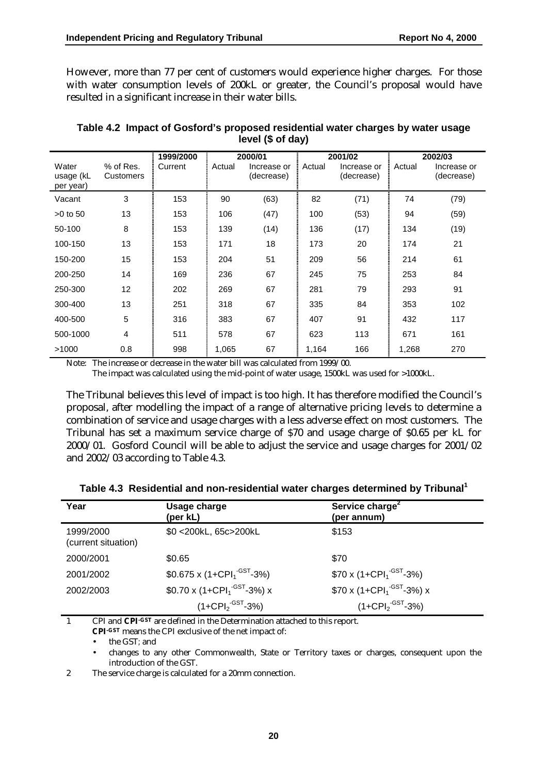However, more than 77 per cent of customers would experience higher charges. For those with water consumption levels of 200kL or greater, the Council's proposal would have resulted in a significant increase in their water bills.

|                                 |                        | 1999/2000 |        | 2000/01                   |        | 2001/02                   |        | 2002/03                   |
|---------------------------------|------------------------|-----------|--------|---------------------------|--------|---------------------------|--------|---------------------------|
| Water<br>usage (kL<br>per year) | % of Res.<br>Customers | Current   | Actual | Increase or<br>(decrease) | Actual | Increase or<br>(decrease) | Actual | Increase or<br>(decrease) |
| Vacant                          | 3                      | 153       | 90     | (63)                      | 82     | (71)                      | 74     | (79)                      |
| $>0$ to 50                      | 13                     | 153       | 106    | (47)                      | 100    | (53)                      | 94     | (59)                      |
| 50-100                          | 8                      | 153       | 139    | (14)                      | 136    | (17)                      | 134    | (19)                      |
| 100-150                         | 13                     | 153       | 171    | 18                        | 173    | 20                        | 174    | 21                        |
| 150-200                         | 15                     | 153       | 204    | 51                        | 209    | 56                        | 214    | 61                        |
| 200-250                         | 14                     | 169       | 236    | 67                        | 245    | 75                        | 253    | 84                        |
| 250-300                         | 12 <sup>2</sup>        | 202       | 269    | 67                        | 281    | 79                        | 293    | 91                        |
| 300-400                         | 13                     | 251       | 318    | 67                        | 335    | 84                        | 353    | 102                       |
| 400-500                         | 5                      | 316       | 383    | 67                        | 407    | 91                        | 432    | 117                       |
| 500-1000                        | 4                      | 511       | 578    | 67                        | 623    | 113                       | 671    | 161                       |
| >1000                           | 0.8                    | 998       | 1,065  | 67                        | 1,164  | 166                       | 1,268  | 270                       |

#### **Table 4.2 Impact of Gosford's proposed residential water charges by water usage level (\$ of day)**

Note: The increase or decrease in the water bill was calculated from 1999/00.

The impact was calculated using the mid-point of water usage, 1500kL was used for >1000kL.

The Tribunal believes this level of impact is too high. It has therefore modified the Council's proposal, after modelling the impact of a range of alternative pricing levels to determine a combination of service and usage charges with a less adverse effect on most customers. The Tribunal has set a maximum service charge of \$70 and usage charge of \$0.65 per kL for 2000/01. Gosford Council will be able to adjust the service and usage charges for 2001/02 and 2002/03 according to Table 4.3.

| Year                             | Usage charge<br>(per kL)                                    | Service charge <sup>2</sup><br>(per annum)               |
|----------------------------------|-------------------------------------------------------------|----------------------------------------------------------|
| 1999/2000<br>(current situation) | \$0 <200kL, 65c>200kL                                       | \$153                                                    |
| 2000/2001                        | \$0.65                                                      | \$70                                                     |
| 2001/2002                        | $$0.675 \times (1 + \text{CPI}_1^{\cdot \text{GST}} - 3\%)$ | $$70 \times (1 + \text{CPI}_1^{\cdot \text{GST}} - 3\%)$ |
| 2002/2003                        | $$0.70 \times (1 + CPI1$ <sup>-GST</sup> -3%) x             | $$70 \times (1 + CPI1-GST-3%) x$                         |
|                                  | $(1+CPI2-GST-3%)$                                           | $(1+CPI2-GST-3%)$                                        |

**Table 4.3 Residential and non-residential water charges determined by Tribunal1**

1 CPI and **CPI-GST** are defined in the Determination attached to this report.

**CPI-GST** means the CPI exclusive of the net impact of:

• the GST*;* and

• changes to any other Commonwealth, State or Territory taxes or charges, consequent upon the introduction of the GST.

2 The service charge is calculated for a 20mm connection.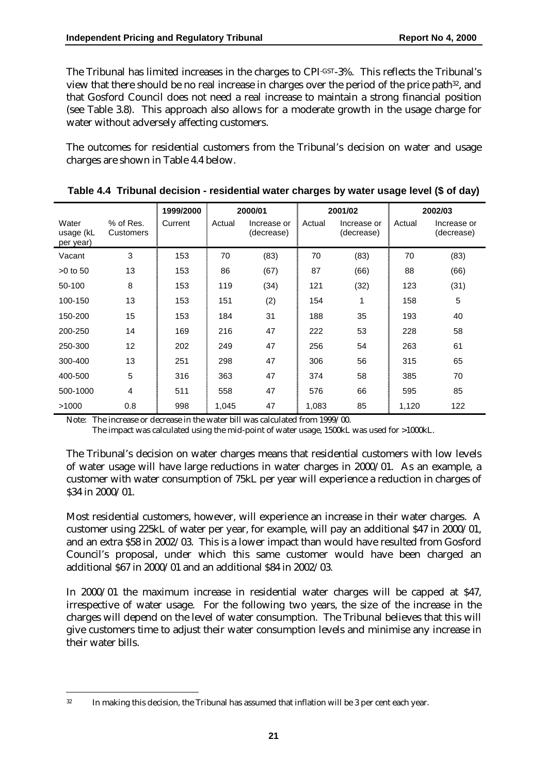The Tribunal has limited increases in the charges to CPI-GST-3%. This reflects the Tribunal's view that there should be no real increase in charges over the period of the price path32, and that Gosford Council does not need a real increase to maintain a strong financial position (see Table 3.8). This approach also allows for a moderate growth in the usage charge for water without adversely affecting customers.

The outcomes for residential customers from the Tribunal's decision on water and usage charges are shown in Table 4.4 below.

|                                 |                        | 1999/2000 |        | 2000/01                   |        | 2001/02                   |        | 2002/03                   |
|---------------------------------|------------------------|-----------|--------|---------------------------|--------|---------------------------|--------|---------------------------|
| Water<br>usage (kL<br>per year) | % of Res.<br>Customers | Current   | Actual | Increase or<br>(decrease) | Actual | Increase or<br>(decrease) | Actual | Increase or<br>(decrease) |
| Vacant                          | 3                      | 153       | 70     | (83)                      | 70     | (83)                      | 70     | (83)                      |
| $>0$ to 50                      | 13                     | 153       | 86     | (67)                      | 87     | (66)                      | 88     | (66)                      |
| 50-100                          | 8                      | 153       | 119    | (34)                      | 121    | (32)                      | 123    | (31)                      |
| 100-150                         | 13                     | 153       | 151    | (2)                       | 154    | 1                         | 158    | 5                         |
| 150-200                         | 15                     | 153       | 184    | 31                        | 188    | 35                        | 193    | 40                        |
| 200-250                         | 14                     | 169       | 216    | 47                        | 222    | 53                        | 228    | 58                        |
| 250-300                         | 12                     | 202       | 249    | 47                        | 256    | 54                        | 263    | 61                        |
| 300-400                         | 13                     | 251       | 298    | 47                        | 306    | 56                        | 315    | 65                        |
| 400-500                         | 5                      | 316       | 363    | 47                        | 374    | 58                        | 385    | 70                        |
| 500-1000                        | 4                      | 511       | 558    | 47                        | 576    | 66                        | 595    | 85                        |
| >1000                           | 0.8                    | 998       | 1,045  | 47                        | 1,083  | 85                        | 1,120  | 122                       |

**Table 4.4 Tribunal decision - residential water charges by water usage level (\$ of day)**

Note: The increase or decrease in the water bill was calculated from 1999/00.

The impact was calculated using the mid-point of water usage, 1500kL was used for >1000kL.

The Tribunal's decision on water charges means that residential customers with low levels of water usage will have large reductions in water charges in 2000/01. As an example, a customer with water consumption of 75kL per year will experience a reduction in charges of \$34 in 2000/01.

Most residential customers, however, will experience an increase in their water charges. A customer using 225kL of water per year, for example, will pay an additional \$47 in 2000/01, and an extra \$58 in 2002/03. This is a lower impact than would have resulted from Gosford Council's proposal, under which this same customer would have been charged an additional \$67 in 2000/01 and an additional \$84 in 2002/03.

In 2000/01 the maximum increase in residential water charges will be capped at \$47, irrespective of water usage. For the following two years, the size of the increase in the charges will depend on the level of water consumption. The Tribunal believes that this will give customers time to adjust their water consumption levels and minimise any increase in their water bills.

 $\overline{a}$ <sup>32</sup> In making this decision, the Tribunal has assumed that inflation will be 3 per cent each year.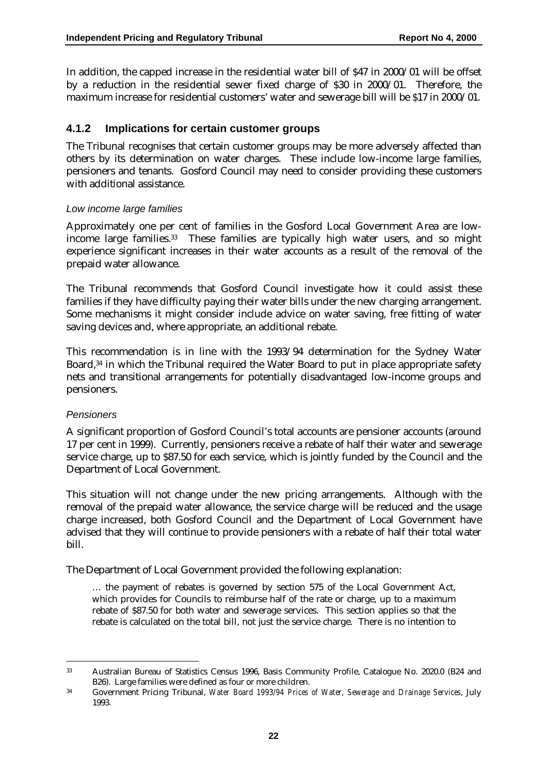In addition, the capped increase in the residential water bill of \$47 in 2000/01 will be offset by a reduction in the residential sewer fixed charge of \$30 in 2000/01. Therefore, the maximum increase for residential customers' water and sewerage bill will be \$17 in 2000/01.

#### **4.1.2 Implications for certain customer groups**

The Tribunal recognises that certain customer groups may be more adversely affected than others by its determination on water charges. These include low-income large families, pensioners and tenants. Gosford Council may need to consider providing these customers with additional assistance.

#### *Low income large families*

Approximately one per cent of families in the Gosford Local Government Area are lowincome large families.33 These families are typically high water users, and so might experience significant increases in their water accounts as a result of the removal of the prepaid water allowance.

The Tribunal recommends that Gosford Council investigate how it could assist these families if they have difficulty paying their water bills under the new charging arrangement. Some mechanisms it might consider include advice on water saving, free fitting of water saving devices and, where appropriate, an additional rebate.

This recommendation is in line with the 1993/94 determination for the Sydney Water Board,<sup>34</sup> in which the Tribunal required the Water Board to put in place appropriate safety nets and transitional arrangements for potentially disadvantaged low-income groups and pensioners.

#### *Pensioners*

 $\overline{a}$ 

A significant proportion of Gosford Council's total accounts are pensioner accounts (around 17 per cent in 1999). Currently, pensioners receive a rebate of half their water and sewerage service charge, up to \$87.50 for each service, which is jointly funded by the Council and the Department of Local Government.

This situation will not change under the new pricing arrangements. Although with the removal of the prepaid water allowance, the service charge will be reduced and the usage charge increased, both Gosford Council and the Department of Local Government have advised that they will continue to provide pensioners with a rebate of half their total water bill.

The Department of Local Government provided the following explanation:

… the payment of rebates is governed by section 575 of the Local Government Act, which provides for Councils to reimburse half of the rate or charge, up to a maximum rebate of \$87.50 for both water and sewerage services. This section applies so that the rebate is calculated on the total bill, not just the service charge. There is no intention to

<sup>33</sup> Australian Bureau of Statistics Census 1996, Basis Community Profile, Catalogue No. 2020.0 (B24 and B26). Large families were defined as four or more children.

<sup>34</sup> Government Pricing Tribunal, *Water Board 1993/94 Prices of Water, Sewerage and Drainage Services*, July 1993.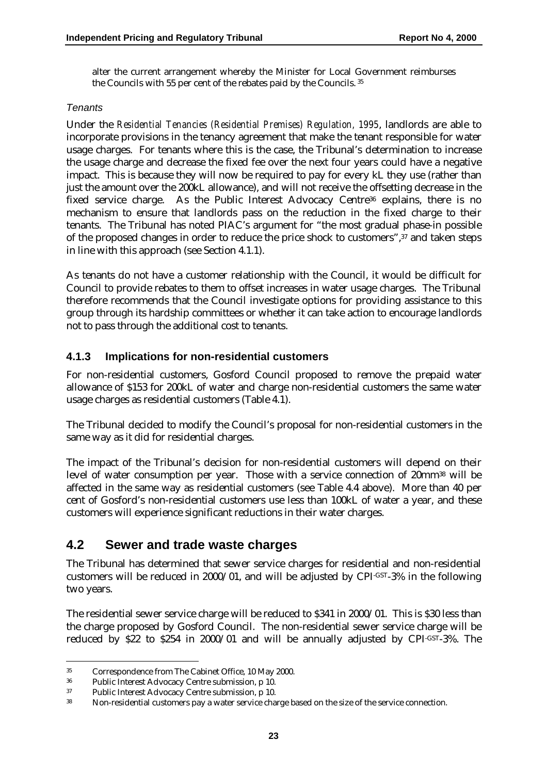alter the current arrangement whereby the Minister for Local Government reimburses the Councils with 55 per cent of the rebates paid by the Councils. 35

#### *Tenants*

Under the *Residential Tenancies (Residential Premises) Regulation, 1995*, landlords are able to incorporate provisions in the tenancy agreement that make the tenant responsible for water usage charges. For tenants where this is the case, the Tribunal's determination to increase the usage charge and decrease the fixed fee over the next four years could have a negative impact. This is because they will now be required to pay for every kL they use (rather than just the amount over the 200kL allowance), and will not receive the offsetting decrease in the fixed service charge. As the Public Interest Advocacy Centre<sup>36</sup> explains, there is no mechanism to ensure that landlords pass on the reduction in the fixed charge to their tenants. The Tribunal has noted PIAC's argument for "the most gradual phase-in possible of the proposed changes in order to reduce the price shock to customers",37 and taken steps in line with this approach (see Section 4.1.1).

As tenants do not have a customer relationship with the Council, it would be difficult for Council to provide rebates to them to offset increases in water usage charges. The Tribunal therefore recommends that the Council investigate options for providing assistance to this group through its hardship committees or whether it can take action to encourage landlords not to pass through the additional cost to tenants.

#### **4.1.3 Implications for non-residential customers**

For non-residential customers, Gosford Council proposed to remove the prepaid water allowance of \$153 for 200kL of water and charge non-residential customers the same water usage charges as residential customers (Table 4.1).

The Tribunal decided to modify the Council's proposal for non-residential customers in the same way as it did for residential charges.

The impact of the Tribunal's decision for non-residential customers will depend on their level of water consumption per year. Those with a service connection of 20mm38 will be affected in the same way as residential customers (see Table 4.4 above). More than 40 per cent of Gosford's non-residential customers use less than 100kL of water a year, and these customers will experience significant reductions in their water charges.

### **4.2 Sewer and trade waste charges**

The Tribunal has determined that sewer service charges for residential and non-residential customers will be reduced in 2000/01, and will be adjusted by CPI-GST-3% in the following two years.

The residential sewer service charge will be reduced to \$341 in 2000/01. This is \$30 less than the charge proposed by Gosford Council. The non-residential sewer service charge will be reduced by \$22 to \$254 in 2000/01 and will be annually adjusted by CPI-GST-3%. The

<sup>35</sup> Correspondence from The Cabinet Office, 10 May 2000.

<sup>36</sup> Public Interest Advocacy Centre submission, p 10.

<sup>37</sup> Public Interest Advocacy Centre submission, p 10.

<sup>38</sup> Non-residential customers pay a water service charge based on the size of the service connection.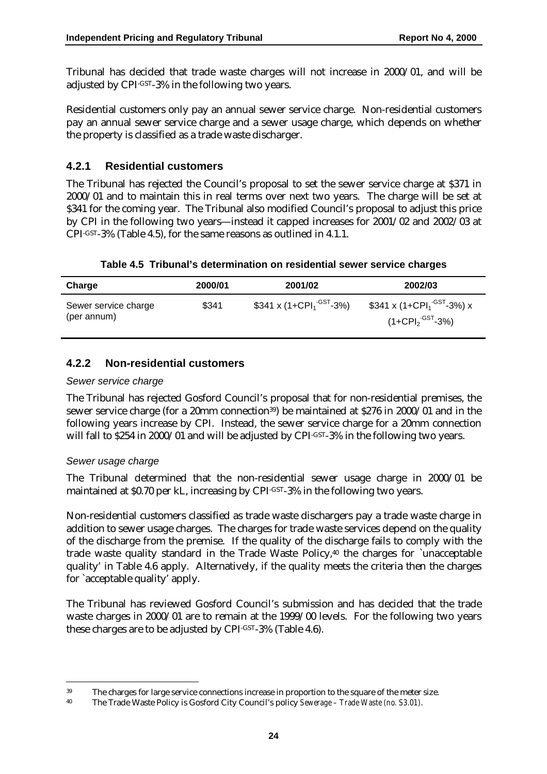Tribunal has decided that trade waste charges will not increase in 2000/01, and will be adjusted by CPI-GST-3% in the following two years.

Residential customers only pay an annual sewer service charge. Non-residential customers pay an annual sewer service charge and a sewer usage charge, which depends on whether the property is classified as a trade waste discharger.

#### **4.2.1 Residential customers**

The Tribunal has rejected the Council's proposal to set the sewer service charge at \$371 in 2000/01 and to maintain this in real terms over next two years. The charge will be set at \$341 for the coming year. The Tribunal also modified Council's proposal to adjust this price by CPI in the following two years—instead it capped increases for 2001/02 and 2002/03 at CPI-GST-3% (Table 4.5), for the same reasons as outlined in 4.1.1.

**Table 4.5 Tribunal's determination on residential sewer service charges**

| <b>Charge</b>                       | 2000/01 | 2001/02                                          | 2002/03                                                                                      |
|-------------------------------------|---------|--------------------------------------------------|----------------------------------------------------------------------------------------------|
| Sewer service charge<br>(per annum) | \$341   | \$341 x (1+CPI <sub>1</sub> <sup>-GST</sup> -3%) | \$341 x (1+CPI <sub>1</sub> <sup>-GST</sup> -3%) x<br>(1+CPI $_{2}^{\cdot \text{-GST}}$ -3%) |

#### **4.2.2 Non-residential customers**

#### *Sewer service charge*

The Tribunal has rejected Gosford Council's proposal that for non-residential premises, the sewer service charge (for a 20mm connection<sup>39</sup>) be maintained at \$276 in 2000/01 and in the following years increase by CPI. Instead, the sewer service charge for a 20mm connection will fall to \$254 in 2000/01 and will be adjusted by CPI<sup>-GST</sup>-3% in the following two years.

#### *Sewer usage charge*

 $\overline{a}$ 

The Tribunal determined that the non-residential sewer usage charge in 2000/01 be maintained at \$0.70 per kL, increasing by CPI-GST-3% in the following two years.

Non-residential customers classified as trade waste dischargers pay a trade waste charge in addition to sewer usage charges. The charges for trade waste services depend on the quality of the discharge from the premise. If the quality of the discharge fails to comply with the trade waste quality standard in the Trade Waste Policy,<sup>40</sup> the charges for `unacceptable quality' in Table 4.6 apply. Alternatively, if the quality meets the criteria then the charges for `acceptable quality' apply.

The Tribunal has reviewed Gosford Council's submission and has decided that the trade waste charges in 2000/01 are to remain at the 1999/00 levels. For the following two years these charges are to be adjusted by CPI-GST-3% (Table 4.6).

<sup>39</sup> The charges for large service connections increase in proportion to the square of the meter size.

<sup>40</sup> The Trade Waste Policy is Gosford City Council's policy *Sewerage – Trade Waste (no. S3.01)*.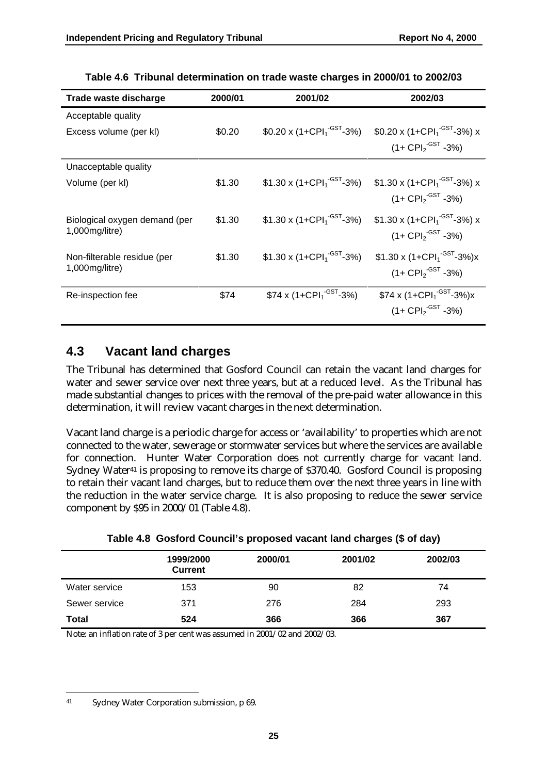| Trade waste discharge         | 2000/01 | 2001/02                                                    | 2002/03                                             |
|-------------------------------|---------|------------------------------------------------------------|-----------------------------------------------------|
| Acceptable quality            |         |                                                            |                                                     |
| Excess volume (per kl)        | \$0.20  | $$0.20 \times (1 + \text{CPI}_{1}^{\text{-GST}} - 3\%)$    | \$0.20 x (1+CPI <sub>1</sub> <sup>-GST</sup> -3%) x |
|                               |         |                                                            | $(1 + \text{CPI}_{2}^{\text{-GST}} - 3\%)$          |
| Unacceptable quality          |         |                                                            |                                                     |
| Volume (per kl)               | \$1.30  | $$1.30 \times (1 + \text{CPI}_1^{\cdot \text{GST}} - 3\%)$ | \$1.30 x (1+CPI <sub>1</sub> <sup>-GST</sup> -3%) x |
|                               |         |                                                            | $(1 + \text{CPI}_{2}^{\text{-GST}} - 3\%)$          |
| Biological oxygen demand (per | \$1.30  | \$1.30 x $(1+CPI1-GST-3%)$                                 | \$1.30 x (1+CPI <sub>1</sub> <sup>-GST</sup> -3%) x |
| 1,000mg/litre)                |         |                                                            | $(1 + \text{CPI}_{2}^{\text{-GST}} - 3\%)$          |
| Non-filterable residue (per   | \$1.30  | \$1.30 x $(1+CPI1-GST-3%)$                                 | \$1.30 x $(1+CPI1-GST-3%)x$                         |
| $1,000$ mg/litre)             |         |                                                            | $(1 + \text{CPI}_{2}^{\text{-GST}} - 3\%)$          |
|                               |         |                                                            |                                                     |
| Re-inspection fee             | \$74    | $$74 \times (1+CPI1$ <sup>-GST</sup> -3%)                  | $$74 \times (1+CPI1$ <sup>-GST</sup> -3%)x          |
|                               |         |                                                            | $(1 + \text{CPI}_2 \cdot \text{GST} - 3\%)$         |

**Table 4.6 Tribunal determination on trade waste charges in 2000/01 to 2002/03**

### **4.3 Vacant land charges**

The Tribunal has determined that Gosford Council can retain the vacant land charges for water and sewer service over next three years, but at a reduced level. As the Tribunal has made substantial changes to prices with the removal of the pre-paid water allowance in this determination, it will review vacant charges in the next determination.

Vacant land charge is a periodic charge for access or 'availability' to properties which are not connected to the water, sewerage or stormwater services but where the services are available for connection. Hunter Water Corporation does not currently charge for vacant land. Sydney Water<sup>41</sup> is proposing to remove its charge of \$370.40. Gosford Council is proposing to retain their vacant land charges, but to reduce them over the next three years in line with the reduction in the water service charge. It is also proposing to reduce the sewer service component by \$95 in 2000/01 (Table 4.8).

|               | 1999/2000<br><b>Current</b> | 2000/01 | 2001/02 | 2002/03 |
|---------------|-----------------------------|---------|---------|---------|
| Water service | 153                         | 90      | 82      | 74      |
| Sewer service | 371                         | 276     | 284     | 293     |
| Total         | 524                         | 366     | 366     | 367     |

| Table 4.8 Gosford Council's proposed vacant land charges (\$ of day) |  |  |  |  |  |  |  |  |
|----------------------------------------------------------------------|--|--|--|--|--|--|--|--|
|----------------------------------------------------------------------|--|--|--|--|--|--|--|--|

Note: an inflation rate of 3 per cent was assumed in 2001/02 and 2002/03.

 $\overline{a}$ 41 Sydney Water Corporation submission, p 69.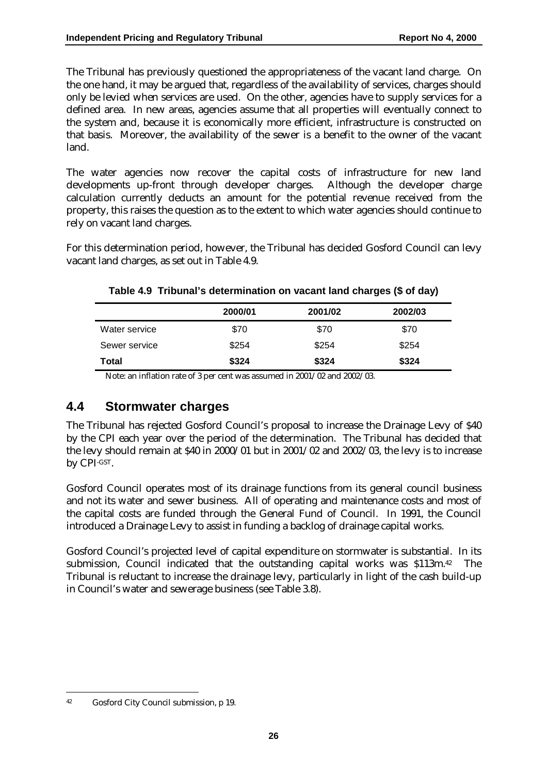The Tribunal has previously questioned the appropriateness of the vacant land charge. On the one hand, it may be argued that, regardless of the availability of services, charges should only be levied when services are used. On the other, agencies have to supply services for a defined area. In new areas, agencies assume that all properties will eventually connect to the system and, because it is economically more efficient, infrastructure is constructed on that basis. Moreover, the availability of the sewer is a benefit to the owner of the vacant land.

The water agencies now recover the capital costs of infrastructure for new land developments up-front through developer charges. Although the developer charge calculation currently deducts an amount for the potential revenue received from the property, this raises the question as to the extent to which water agencies should continue to rely on vacant land charges.

For this determination period, however, the Tribunal has decided Gosford Council can levy vacant land charges, as set out in Table 4.9.

|               | 2000/01 | 2001/02 | 2002/03 |
|---------------|---------|---------|---------|
| Water service | \$70    | \$70    | \$70    |
| Sewer service | \$254   | \$254   | \$254   |
| Total         | \$324   | \$324   | \$324   |

#### **Table 4.9 Tribunal's determination on vacant land charges (\$ of day)**

Note: an inflation rate of 3 per cent was assumed in 2001/02 and 2002/03.

### **4.4 Stormwater charges**

The Tribunal has rejected Gosford Council's proposal to increase the Drainage Levy of \$40 by the CPI each year over the period of the determination. The Tribunal has decided that the levy should remain at \$40 in 2000/01 but in 2001/02 and 2002/03, the levy is to increase by CPI-GST.

Gosford Council operates most of its drainage functions from its general council business and not its water and sewer business. All of operating and maintenance costs and most of the capital costs are funded through the General Fund of Council. In 1991, the Council introduced a Drainage Levy to assist in funding a backlog of drainage capital works.

Gosford Council's projected level of capital expenditure on stormwater is substantial. In its submission, Council indicated that the outstanding capital works was \$113m.<sup>42</sup> The Tribunal is reluctant to increase the drainage levy, particularly in light of the cash build-up in Council's water and sewerage business (see Table 3.8).

<sup>42</sup> Gosford City Council submission, p 19.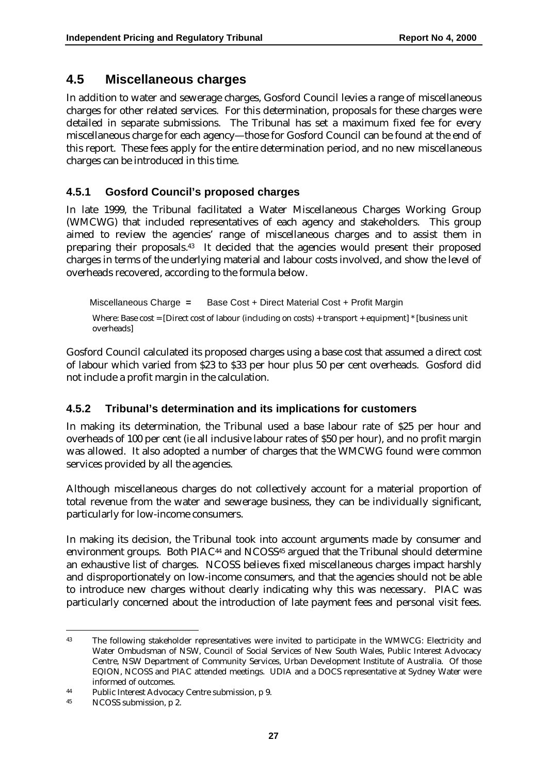### **4.5 Miscellaneous charges**

In addition to water and sewerage charges, Gosford Council levies a range of miscellaneous charges for other related services. For this determination, proposals for these charges were detailed in separate submissions. The Tribunal has set a maximum fixed fee for every miscellaneous charge for each agency—those for Gosford Council can be found at the end of this report. These fees apply for the entire determination period, and no new miscellaneous charges can be introduced in this time.

#### **4.5.1 Gosford Council's proposed charges**

In late 1999, the Tribunal facilitated a Water Miscellaneous Charges Working Group (WMCWG) that included representatives of each agency and stakeholders. This group aimed to review the agencies' range of miscellaneous charges and to assist them in preparing their proposals.43 It decided that the agencies would present their proposed charges in terms of the underlying material and labour costs involved, and show the level of overheads recovered, according to the formula below.

Miscellaneous Charge **=** Base Cost + Direct Material Cost + Profit Margin Where: Base cost = [Direct cost of labour (including on costs) + transport + equipment] \* [business unit overheads]

Gosford Council calculated its proposed charges using a base cost that assumed a direct cost of labour which varied from \$23 to \$33 per hour plus 50 per cent overheads. Gosford did not include a profit margin in the calculation.

#### **4.5.2 Tribunal's determination and its implications for customers**

In making its determination, the Tribunal used a base labour rate of \$25 per hour and overheads of 100 per cent (ie all inclusive labour rates of \$50 per hour), and no profit margin was allowed. It also adopted a number of charges that the WMCWG found were common services provided by all the agencies.

Although miscellaneous charges do not collectively account for a material proportion of total revenue from the water and sewerage business, they can be individually significant, particularly for low-income consumers.

In making its decision, the Tribunal took into account arguments made by consumer and environment groups. Both PIAC<sup>44</sup> and NCOSS<sup>45</sup> argued that the Tribunal should determine an exhaustive list of charges. NCOSS believes fixed miscellaneous charges impact harshly and disproportionately on low-income consumers, and that the agencies should not be able to introduce new charges without clearly indicating why this was necessary. PIAC was particularly concerned about the introduction of late payment fees and personal visit fees.

<sup>43</sup> The following stakeholder representatives were invited to participate in the WMWCG: Electricity and Water Ombudsman of NSW, Council of Social Services of New South Wales, Public Interest Advocacy Centre, NSW Department of Community Services, Urban Development Institute of Australia. Of those EQION, NCOSS and PIAC attended meetings. UDIA and a DOCS representative at Sydney Water were informed of outcomes.

<sup>44</sup> Public Interest Advocacy Centre submission, p 9.

<sup>45</sup> NCOSS submission, p 2.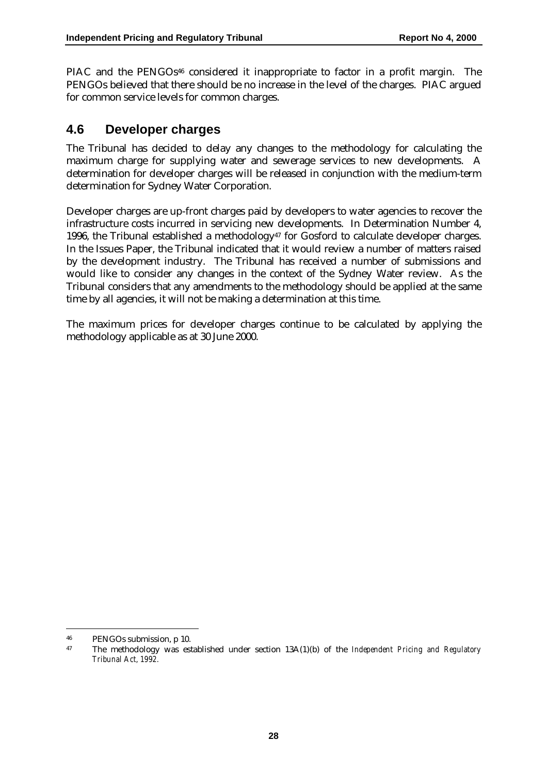PIAC and the PENGOs<sup>46</sup> considered it inappropriate to factor in a profit margin. The PENGOs believed that there should be no increase in the level of the charges. PIAC argued for common service levels for common charges.

### **4.6 Developer charges**

The Tribunal has decided to delay any changes to the methodology for calculating the maximum charge for supplying water and sewerage services to new developments. A determination for developer charges will be released in conjunction with the medium-term determination for Sydney Water Corporation.

Developer charges are up-front charges paid by developers to water agencies to recover the infrastructure costs incurred in servicing new developments. In Determination Number 4, 1996, the Tribunal established a methodology<sup> $47$ </sup> for Gosford to calculate developer charges. In the Issues Paper, the Tribunal indicated that it would review a number of matters raised by the development industry. The Tribunal has received a number of submissions and would like to consider any changes in the context of the Sydney Water review. As the Tribunal considers that any amendments to the methodology should be applied at the same time by all agencies, it will not be making a determination at this time.

The maximum prices for developer charges continue to be calculated by applying the methodology applicable as at 30 June 2000.

<sup>46</sup> PENGOs submission, p 10.

<sup>47</sup> The methodology was established under section 13A(1)(b) of the *Independent Pricing and Regulatory Tribunal Act, 1992.*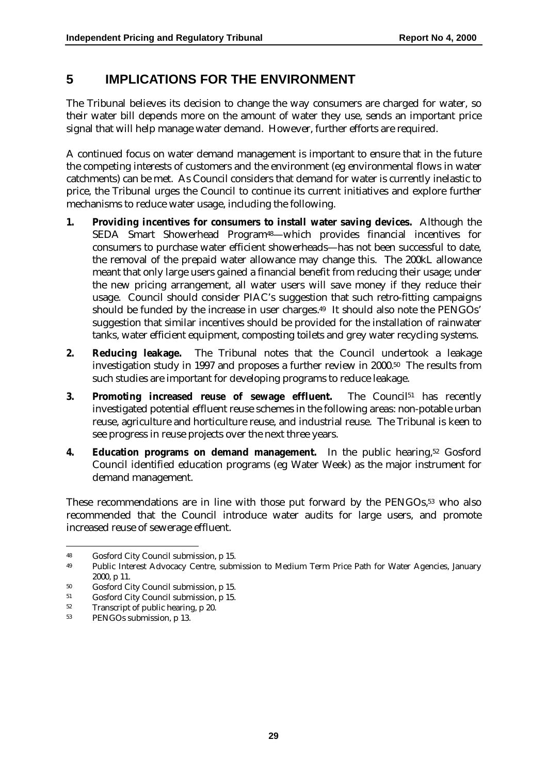### **5 IMPLICATIONS FOR THE ENVIRONMENT**

The Tribunal believes its decision to change the way consumers are charged for water, so their water bill depends more on the amount of water they use, sends an important price signal that will help manage water demand. However, further efforts are required.

A continued focus on water demand management is important to ensure that in the future the competing interests of customers and the environment (eg environmental flows in water catchments) can be met. As Council considers that demand for water is currently inelastic to price, the Tribunal urges the Council to continue its current initiatives and explore further mechanisms to reduce water usage, including the following.

- **1. Providing incentives for consumers to install water saving devices.** Although the SEDA Smart Showerhead Program48—which provides financial incentives for consumers to purchase water efficient showerheads—has not been successful to date, the removal of the prepaid water allowance may change this. The 200kL allowance meant that only large users gained a financial benefit from reducing their usage; under the new pricing arrangement, all water users will save money if they reduce their usage. Council should consider PIAC's suggestion that such retro-fitting campaigns should be funded by the increase in user charges.49 It should also note the PENGOs' suggestion that similar incentives should be provided for the installation of rainwater tanks, water efficient equipment, composting toilets and grey water recycling systems.
- **2. Reducing leakage.** The Tribunal notes that the Council undertook a leakage investigation study in 1997 and proposes a further review in 2000.50 The results from such studies are important for developing programs to reduce leakage.
- **3. Promoting increased reuse of sewage effluent.** The Council<sup>51</sup> has recently investigated potential effluent reuse schemes in the following areas: non-potable urban reuse, agriculture and horticulture reuse, and industrial reuse. The Tribunal is keen to see progress in reuse projects over the next three years.
- **4. Education programs on demand management.** In the public hearing,52 Gosford Council identified education programs (eg Water Week) as the major instrument for demand management.

These recommendations are in line with those put forward by the PENGOs,<sup>53</sup> who also recommended that the Council introduce water audits for large users, and promote increased reuse of sewerage effluent.

 $\ddot{\phantom{a}}$ 

<sup>48</sup> Gosford City Council submission, p 15.

<sup>49</sup> Public Interest Advocacy Centre, submission to Medium Term Price Path for Water Agencies, January 2000, p 11.

<sup>50</sup> Gosford City Council submission, p 15.

<sup>51</sup> Gosford City Council submission, p 15.

<sup>52</sup> Transcript of public hearing, p 20.

<sup>53</sup> PENGOs submission, p 13.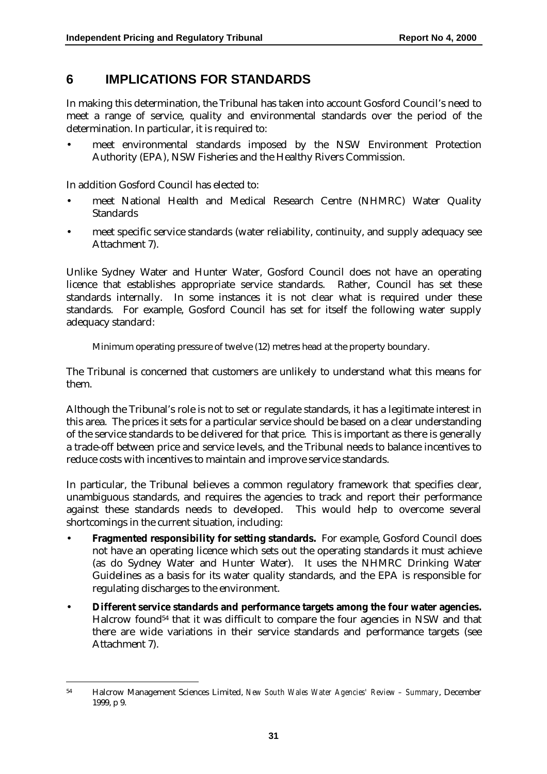### **6 IMPLICATIONS FOR STANDARDS**

In making this determination, the Tribunal has taken into account Gosford Council's need to meet a range of service, quality and environmental standards over the period of the determination. In particular, it is required to:

• meet environmental standards imposed by the NSW Environment Protection Authority (EPA), NSW Fisheries and the Healthy Rivers Commission.

In addition Gosford Council has elected to:

 $\overline{a}$ 

- meet National Health and Medical Research Centre (NHMRC) Water Quality Standards
- meet specific service standards (water reliability, continuity, and supply adequacy see Attachment 7).

Unlike Sydney Water and Hunter Water, Gosford Council does not have an operating licence that establishes appropriate service standards. Rather, Council has set these standards internally. In some instances it is not clear what is required under these standards. For example, Gosford Council has set for itself the following water supply adequacy standard:

Minimum operating pressure of twelve (12) metres head at the property boundary.

The Tribunal is concerned that customers are unlikely to understand what this means for them.

Although the Tribunal's role is not to set or regulate standards, it has a legitimate interest in this area. The prices it sets for a particular service should be based on a clear understanding of the service standards to be delivered for that price. This is important as there is generally a trade-off between price and service levels, and the Tribunal needs to balance incentives to reduce costs with incentives to maintain and improve service standards.

In particular, the Tribunal believes a common regulatory framework that specifies clear, unambiguous standards, and requires the agencies to track and report their performance against these standards needs to developed. This would help to overcome several shortcomings in the current situation, including:

- **Fragmented responsibility for setting standards.** For example, Gosford Council does not have an operating licence which sets out the operating standards it must achieve (as do Sydney Water and Hunter Water). It uses the NHMRC Drinking Water Guidelines as a basis for its water quality standards, and the EPA is responsible for regulating discharges to the environment.
- **Different service standards and performance targets among the four water agencies.** Halcrow found54 that it was difficult to compare the four agencies in NSW and that there are wide variations in their service standards and performance targets (see Attachment 7).

<sup>54</sup> Halcrow Management Sciences Limited, *New South Wales Water Agencies' Review – Summary*, December 1999, p 9.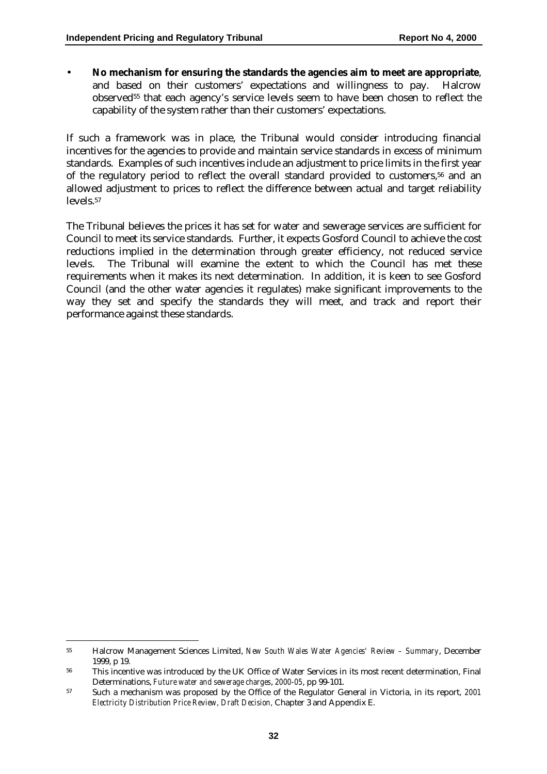• **No mechanism for ensuring the standards the agencies aim to meet are appropriate**, and based on their customers' expectations and willingness to pay. Halcrow observed55 that each agency's service levels seem to have been chosen to reflect the capability of the system rather than their customers' expectations.

If such a framework was in place, the Tribunal would consider introducing financial incentives for the agencies to provide and maintain service standards in excess of minimum standards. Examples of such incentives include an adjustment to price limits in the first year of the regulatory period to reflect the overall standard provided to customers,<sup>56</sup> and an allowed adjustment to prices to reflect the difference between actual and target reliability levels.57

The Tribunal believes the prices it has set for water and sewerage services are sufficient for Council to meet its service standards. Further, it expects Gosford Council to achieve the cost reductions implied in the determination through greater efficiency, not reduced service levels. The Tribunal will examine the extent to which the Council has met these requirements when it makes its next determination. In addition, it is keen to see Gosford Council (and the other water agencies it regulates) make significant improvements to the way they set and specify the standards they will meet, and track and report their performance against these standards.

<sup>55</sup> Halcrow Management Sciences Limited, *New South Wales Water Agencies' Review – Summary*, December 1999, p 19.

<sup>&</sup>lt;sup>56</sup> This incentive was introduced by the UK Office of Water Services in its most recent determination, Final Determinations, *Future water and sewerage charges*, *2000-05*, pp 99-101.

<sup>57</sup> Such a mechanism was proposed by the Office of the Regulator General in Victoria, in its report, *2001 Electricity Distribution Price Review, Draft Decision,* Chapter 3 and Appendix E.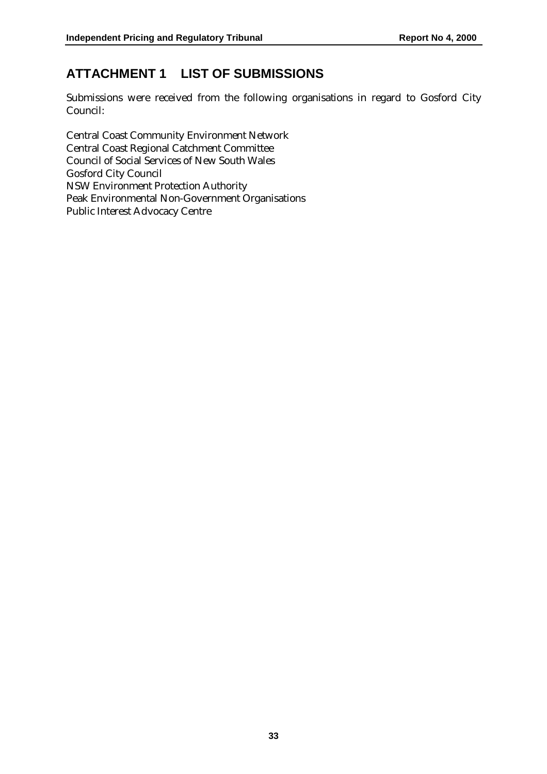# **ATTACHMENT 1 LIST OF SUBMISSIONS**

Submissions were received from the following organisations in regard to Gosford City Council:

Central Coast Community Environment Network Central Coast Regional Catchment Committee Council of Social Services of New South Wales Gosford City Council NSW Environment Protection Authority Peak Environmental Non-Government Organisations Public Interest Advocacy Centre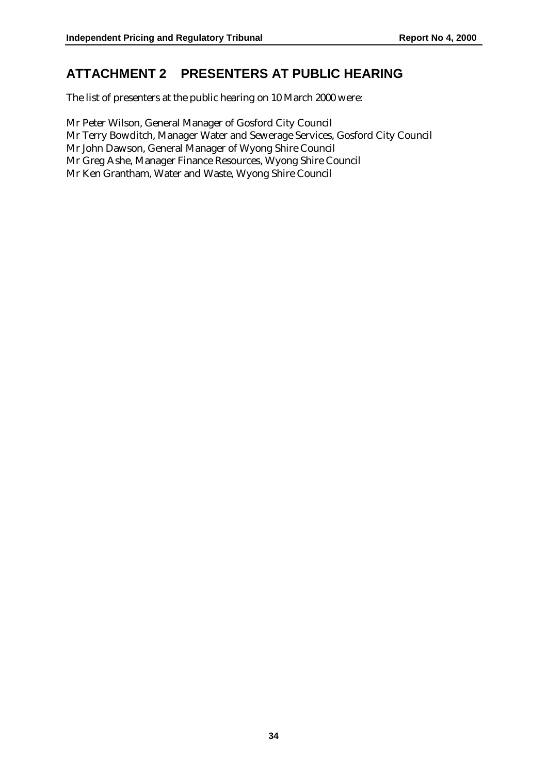### **ATTACHMENT 2 PRESENTERS AT PUBLIC HEARING**

The list of presenters at the public hearing on 10 March 2000 were:

Mr Peter Wilson, General Manager of Gosford City Council Mr Terry Bowditch, Manager Water and Sewerage Services, Gosford City Council Mr John Dawson, General Manager of Wyong Shire Council Mr Greg Ashe, Manager Finance Resources, Wyong Shire Council Mr Ken Grantham, Water and Waste, Wyong Shire Council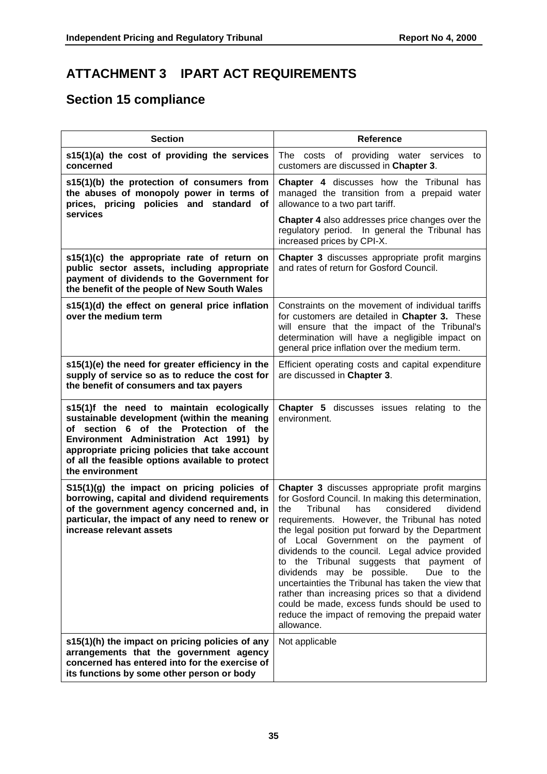# **ATTACHMENT 3 IPART ACT REQUIREMENTS**

# **Section 15 compliance**

| <b>Section</b>                                                                                                                                                                                                                                                                                        | Reference                                                                                                                                                                                                                                                                                                                                                                                                                                                                                                                                                                                                                                                                     |
|-------------------------------------------------------------------------------------------------------------------------------------------------------------------------------------------------------------------------------------------------------------------------------------------------------|-------------------------------------------------------------------------------------------------------------------------------------------------------------------------------------------------------------------------------------------------------------------------------------------------------------------------------------------------------------------------------------------------------------------------------------------------------------------------------------------------------------------------------------------------------------------------------------------------------------------------------------------------------------------------------|
| s15(1)(a) the cost of providing the services<br>concerned                                                                                                                                                                                                                                             | The costs of providing water services to<br>customers are discussed in Chapter 3.                                                                                                                                                                                                                                                                                                                                                                                                                                                                                                                                                                                             |
| s15(1)(b) the protection of consumers from<br>the abuses of monopoly power in terms of<br>prices, pricing policies and standard<br>οf                                                                                                                                                                 | Chapter 4 discusses how the Tribunal has<br>managed the transition from a prepaid water<br>allowance to a two part tariff.                                                                                                                                                                                                                                                                                                                                                                                                                                                                                                                                                    |
| services                                                                                                                                                                                                                                                                                              | Chapter 4 also addresses price changes over the<br>regulatory period. In general the Tribunal has<br>increased prices by CPI-X.                                                                                                                                                                                                                                                                                                                                                                                                                                                                                                                                               |
| s15(1)(c) the appropriate rate of return on<br>public sector assets, including appropriate<br>payment of dividends to the Government for<br>the benefit of the people of New South Wales                                                                                                              | <b>Chapter 3</b> discusses appropriate profit margins<br>and rates of return for Gosford Council.                                                                                                                                                                                                                                                                                                                                                                                                                                                                                                                                                                             |
| s15(1)(d) the effect on general price inflation<br>over the medium term                                                                                                                                                                                                                               | Constraints on the movement of individual tariffs<br>for customers are detailed in Chapter 3. These<br>will ensure that the impact of the Tribunal's<br>determination will have a negligible impact on<br>general price inflation over the medium term.                                                                                                                                                                                                                                                                                                                                                                                                                       |
| s15(1)(e) the need for greater efficiency in the<br>supply of service so as to reduce the cost for<br>the benefit of consumers and tax payers                                                                                                                                                         | Efficient operating costs and capital expenditure<br>are discussed in Chapter 3.                                                                                                                                                                                                                                                                                                                                                                                                                                                                                                                                                                                              |
| s15(1)f the need to maintain ecologically<br>sustainable development (within the meaning<br>of section 6 of the Protection of the<br>Environment Administration Act 1991) by<br>appropriate pricing policies that take account<br>of all the feasible options available to protect<br>the environment | <b>Chapter 5</b> discusses issues relating to the<br>environment.                                                                                                                                                                                                                                                                                                                                                                                                                                                                                                                                                                                                             |
| S15(1)(g) the impact on pricing policies of<br>borrowing, capital and dividend requirements<br>of the government agency concerned and, in<br>particular, the impact of any need to renew or<br>increase relevant assets                                                                               | Chapter 3 discusses appropriate profit margins<br>for Gosford Council. In making this determination,<br>Tribunal<br>considered<br>the<br>has<br>dividend<br>requirements. However, the Tribunal has noted<br>the legal position put forward by the Department<br>of Local Government on the payment of<br>dividends to the council. Legal advice provided<br>to the Tribunal suggests that payment of<br>dividends may be possible.<br>Due to the<br>uncertainties the Tribunal has taken the view that<br>rather than increasing prices so that a dividend<br>could be made, excess funds should be used to<br>reduce the impact of removing the prepaid water<br>allowance. |
| s15(1)(h) the impact on pricing policies of any<br>arrangements that the government agency<br>concerned has entered into for the exercise of<br>its functions by some other person or body                                                                                                            | Not applicable                                                                                                                                                                                                                                                                                                                                                                                                                                                                                                                                                                                                                                                                |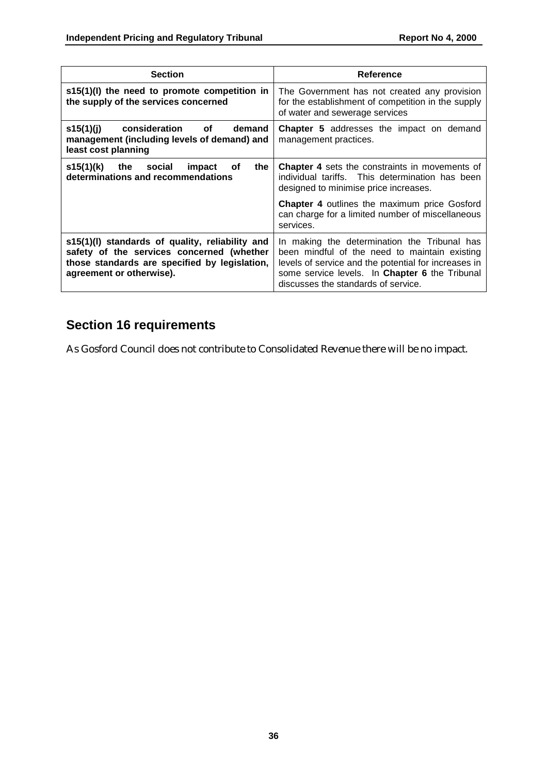| <b>Section</b>                                                                                                                                                            | Reference                                                                                                                                                                                                                                      |  |
|---------------------------------------------------------------------------------------------------------------------------------------------------------------------------|------------------------------------------------------------------------------------------------------------------------------------------------------------------------------------------------------------------------------------------------|--|
| $s15(1)(l)$ the need to promote competition in<br>the supply of the services concerned                                                                                    | The Government has not created any provision<br>for the establishment of competition in the supply<br>of water and sewerage services                                                                                                           |  |
| s15(1)(j) consideration of<br>demand<br>management (including levels of demand) and<br>least cost planning                                                                | <b>Chapter 5</b> addresses the impact on demand<br>management practices.                                                                                                                                                                       |  |
| s15(1)(k)<br>the social<br>impact<br>0f<br>the<br>determinations and recommendations                                                                                      | <b>Chapter 4</b> sets the constraints in movements of<br>individual tariffs. This determination has been<br>designed to minimise price increases.                                                                                              |  |
|                                                                                                                                                                           | <b>Chapter 4</b> outlines the maximum price Gosford<br>can charge for a limited number of miscellaneous<br>services.                                                                                                                           |  |
| s15(1)(I) standards of quality, reliability and<br>safety of the services concerned (whether<br>those standards are specified by legislation,<br>agreement or otherwise). | In making the determination the Tribunal has<br>been mindful of the need to maintain existing<br>levels of service and the potential for increases in<br>some service levels. In Chapter 6 the Tribunal<br>discusses the standards of service. |  |

# **Section 16 requirements**

As Gosford Council does not contribute to Consolidated Revenue there will be no impact.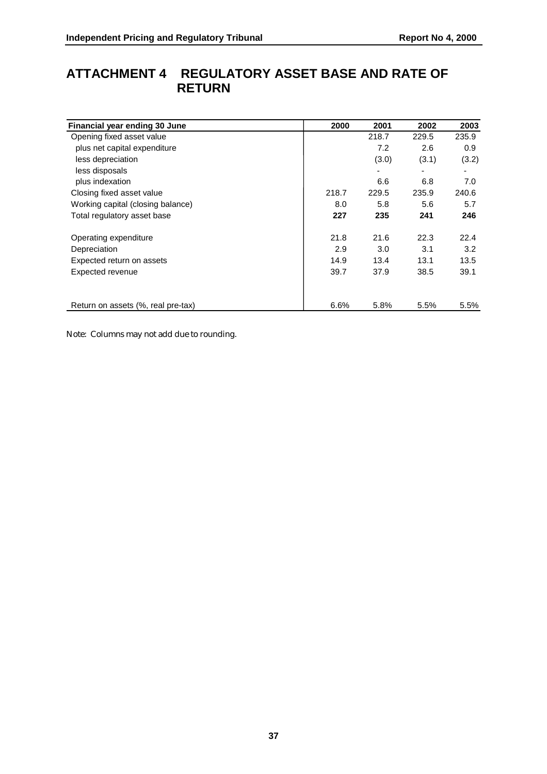# **ATTACHMENT 4 REGULATORY ASSET BASE AND RATE OF RETURN**

| Financial year ending 30 June      | 2000  | 2001  | 2002  | 2003  |
|------------------------------------|-------|-------|-------|-------|
| Opening fixed asset value          |       | 218.7 | 229.5 | 235.9 |
| plus net capital expenditure       |       | 7.2   | 2.6   | 0.9   |
| less depreciation                  |       | (3.0) | (3.1) | (3.2) |
| less disposals                     |       | ٠     |       |       |
| plus indexation                    |       | 6.6   | 6.8   | 7.0   |
| Closing fixed asset value          | 218.7 | 229.5 | 235.9 | 240.6 |
| Working capital (closing balance)  | 8.0   | 5.8   | 5.6   | 5.7   |
| Total regulatory asset base        | 227   | 235   | 241   | 246   |
| Operating expenditure              | 21.8  | 21.6  | 22.3  | 22.4  |
| Depreciation                       | 2.9   | 3.0   | 3.1   | 3.2   |
| Expected return on assets          | 14.9  | 13.4  | 13.1  | 13.5  |
| Expected revenue                   | 39.7  | 37.9  | 38.5  | 39.1  |
| Return on assets (%, real pre-tax) | 6.6%  | 5.8%  | 5.5%  | 5.5%  |

Note: Columns may not add due to rounding.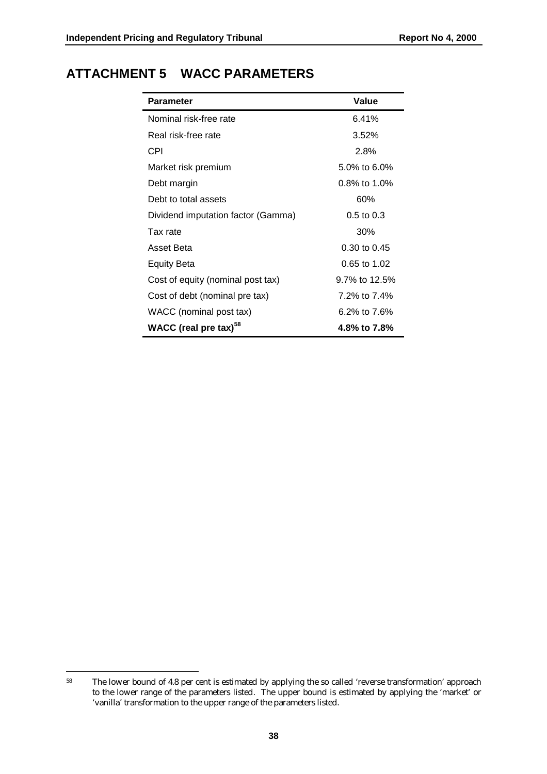# **ATTACHMENT 5 WACC PARAMETERS**

| <b>Parameter</b>                   | Value           |  |  |
|------------------------------------|-----------------|--|--|
| Nominal risk-free rate             | 6.41%           |  |  |
| Real risk-free rate                | $3.52\%$        |  |  |
| CPI                                | 2.8%            |  |  |
| Market risk premium                | 5.0% to 6.0%    |  |  |
| Debt margin                        | $0.8\%$ to 1.0% |  |  |
| Debt to total assets               | 60%             |  |  |
| Dividend imputation factor (Gamma) | $0.5$ to $0.3$  |  |  |
| Tax rate                           | 30%             |  |  |
| Asset Beta                         | 0.30 to 0.45    |  |  |
| <b>Equity Beta</b>                 | 0.65 to 1.02    |  |  |
| Cost of equity (nominal post tax)  | 9.7% to 12.5%   |  |  |
| Cost of debt (nominal pre tax)     | 7.2% to 7.4%    |  |  |
| WACC (nominal post tax)            | 6.2% to 7.6%    |  |  |
| WACC (real pre tax) <sup>58</sup>  | 4.8% to 7.8%    |  |  |

 $\overline{a}$ 58 The lower bound of 4.8 per cent is estimated by applying the so called 'reverse transformation' approach to the lower range of the parameters listed. The upper bound is estimated by applying the 'market' or 'vanilla' transformation to the upper range of the parameters listed.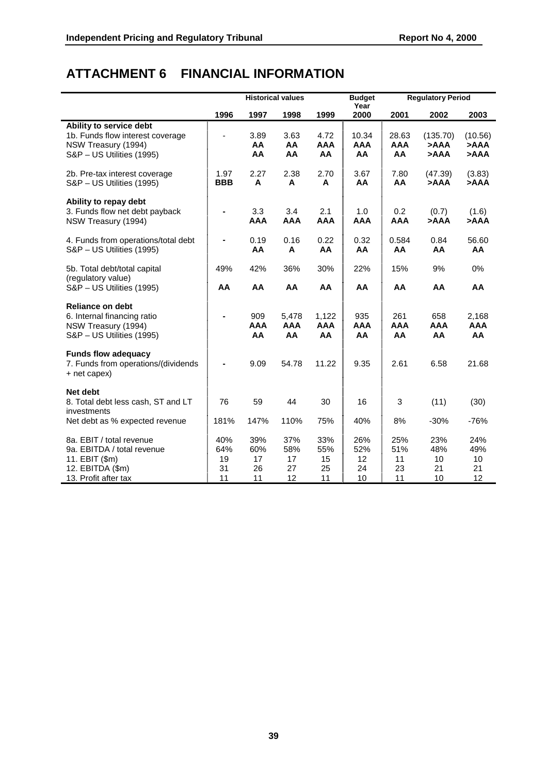# **ATTACHMENT 6 FINANCIAL INFORMATION**

|                                                                                                                      |                              |                              | <b>Historical values</b>     |                              | <b>Budget</b>                |                              | <b>Regulatory Period</b>     |                                   |
|----------------------------------------------------------------------------------------------------------------------|------------------------------|------------------------------|------------------------------|------------------------------|------------------------------|------------------------------|------------------------------|-----------------------------------|
|                                                                                                                      | 1996                         | 1997                         | 1998                         | 1999                         | Year<br>2000                 | 2001                         | 2002                         | 2003                              |
| Ability to service debt<br>1b. Funds flow interest coverage<br>NSW Treasury (1994)<br>S&P - US Utilities (1995)      |                              | 3.89<br>AA<br>AA             | 3.63<br>AA<br>AA             | 4.72<br><b>AAA</b><br>AA     | 10.34<br><b>AAA</b><br>AA    | 28.63<br><b>AAA</b><br>AA    | (135.70)<br>>AAA<br>>AAA     | (10.56)<br>>AAA<br><b>AAA&lt;</b> |
| 2b. Pre-tax interest coverage<br>S&P - US Utilities (1995)                                                           | 1.97<br><b>BBB</b>           | 2.27<br>A                    | 2.38<br>A                    | 2.70<br>A                    | 3.67<br>AA                   | 7.80<br>AA                   | (47.39)<br>>AAA              | (3.83)<br>>AAA                    |
| Ability to repay debt<br>3. Funds flow net debt payback<br>NSW Treasury (1994)                                       |                              | 3.3<br><b>AAA</b>            | 3.4<br><b>AAA</b>            | 2.1<br><b>AAA</b>            | 1.0<br><b>AAA</b>            | 0.2<br><b>AAA</b>            | (0.7)<br>AAA                 | (1.6)<br>>AAA                     |
| 4. Funds from operations/total debt<br>S&P - US Utilities (1995)                                                     |                              | 0.19<br>AA                   | 0.16<br>A                    | 0.22<br>AA                   | 0.32<br>AA                   | 0.584<br>AA                  | 0.84<br>AA                   | 56.60<br>AA                       |
| 5b. Total debt/total capital<br>(regulatory value)<br>S&P - US Utilities (1995)                                      | 49%<br>AA                    | 42%<br>AA                    | 36%<br>AA                    | 30%<br>AA                    | 22%<br>AA                    | 15%<br>AA                    | 9%<br>AA                     | 0%<br>AA                          |
| <b>Reliance on debt</b><br>6. Internal financing ratio<br>NSW Treasury (1994)<br>S&P - US Utilities (1995)           | $\blacksquare$               | 909<br><b>AAA</b><br>AA      | 5,478<br><b>AAA</b><br>AA    | 1,122<br><b>AAA</b><br>AA    | 935<br><b>AAA</b><br>AA      | 261<br><b>AAA</b><br>AA      | 658<br><b>AAA</b><br>AA      | 2,168<br><b>AAA</b><br>AA         |
| <b>Funds flow adequacy</b><br>7. Funds from operations/(dividends<br>+ net capex)                                    |                              | 9.09                         | 54.78                        | 11.22                        | 9.35                         | 2.61                         | 6.58                         | 21.68                             |
| Net debt<br>8. Total debt less cash, ST and LT<br>investments<br>Net debt as % expected revenue                      | 76<br>181%                   | 59<br>147%                   | 44<br>110%                   | 30<br>75%                    | 16<br>40%                    | 3<br>8%                      | (11)<br>$-30%$               | (30)<br>$-76%$                    |
| 8a. EBIT / total revenue<br>9a. EBITDA / total revenue<br>11. EBIT (\$m)<br>12. EBITDA (\$m)<br>13. Profit after tax | 40%<br>64%<br>19<br>31<br>11 | 39%<br>60%<br>17<br>26<br>11 | 37%<br>58%<br>17<br>27<br>12 | 33%<br>55%<br>15<br>25<br>11 | 26%<br>52%<br>12<br>24<br>10 | 25%<br>51%<br>11<br>23<br>11 | 23%<br>48%<br>10<br>21<br>10 | 24%<br>49%<br>10<br>21<br>12      |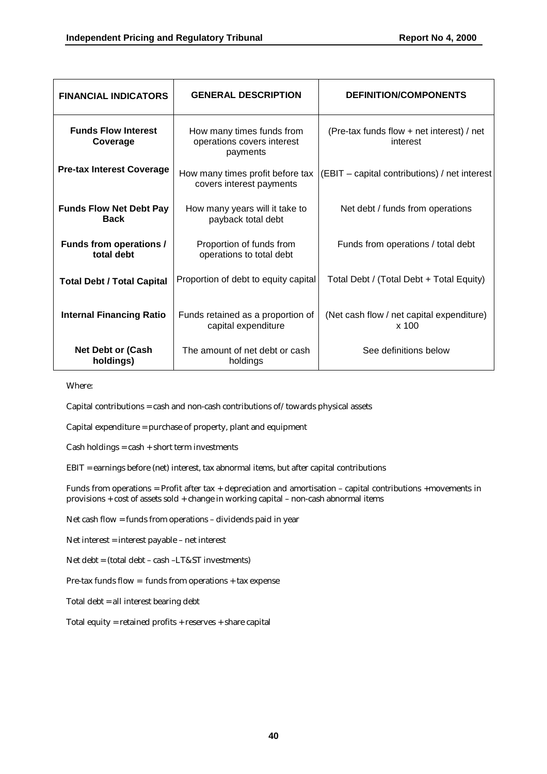| <b>FINANCIAL INDICATORS</b>                   | <b>GENERAL DESCRIPTION</b>                                          | <b>DEFINITION/COMPONENTS</b>                          |
|-----------------------------------------------|---------------------------------------------------------------------|-------------------------------------------------------|
| <b>Funds Flow Interest</b><br>Coverage        | How many times funds from<br>operations covers interest<br>payments | (Pre-tax funds flow + net interest) / net<br>interest |
| <b>Pre-tax Interest Coverage</b>              | How many times profit before tax<br>covers interest payments        | (EBIT – capital contributions) / net interest         |
| <b>Funds Flow Net Debt Pay</b><br><b>Back</b> | How many years will it take to<br>payback total debt                | Net debt / funds from operations                      |
| <b>Funds from operations /</b><br>total debt  | Proportion of funds from<br>operations to total debt                | Funds from operations / total debt                    |
| <b>Total Debt / Total Capital</b>             | Proportion of debt to equity capital                                | Total Debt / (Total Debt + Total Equity)              |
| <b>Internal Financing Ratio</b>               | Funds retained as a proportion of<br>capital expenditure            | (Net cash flow / net capital expenditure)<br>x 100    |
| <b>Net Debt or (Cash</b><br>holdings)         | The amount of net debt or cash<br>holdings                          | See definitions below                                 |

Where:

Capital contributions = cash and non-cash contributions of/towards physical assets

Capital expenditure = purchase of property, plant and equipment

 $Cash holdings = cash + short term investments$ 

EBIT = earnings before (net) interest, tax abnormal items, but after capital contributions

Funds from operations = Profit after tax + depreciation and amortisation – capital contributions +movements in provisions + cost of assets sold + change in working capital – non-cash abnormal items

Net cash flow = funds from operations – dividends paid in year

Net interest = interest payable – net interest

Net debt = (total debt – cash –LT&ST investments)

Pre-tax funds flow = funds from operations + tax expense

Total debt = all interest bearing debt

Total equity = retained profits + reserves + share capital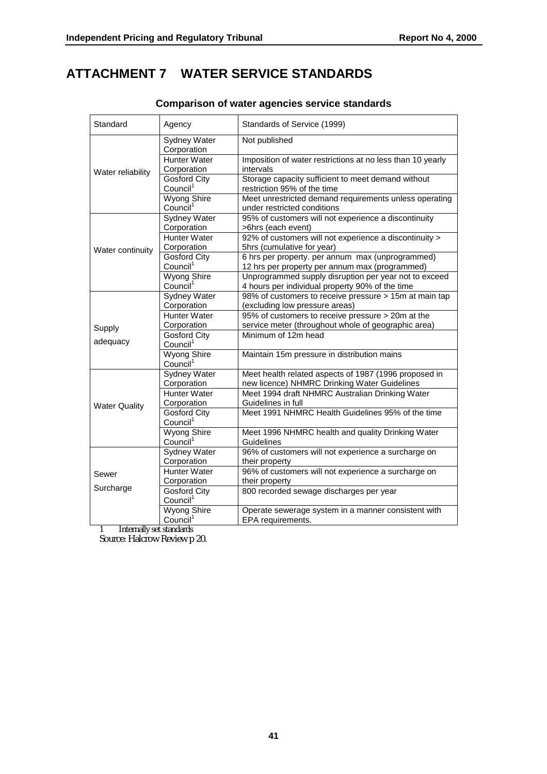### **ATTACHMENT 7 WATER SERVICE STANDARDS**

| Standard             | Agency                                      | Standards of Service (1999)                                                                              |  |  |
|----------------------|---------------------------------------------|----------------------------------------------------------------------------------------------------------|--|--|
|                      | Sydney Water<br>Corporation                 | Not published                                                                                            |  |  |
| Water reliability    | <b>Hunter Water</b><br>Corporation          | Imposition of water restrictions at no less than 10 yearly<br>intervals                                  |  |  |
|                      | <b>Gosford City</b><br>Council <sup>1</sup> | Storage capacity sufficient to meet demand without<br>restriction 95% of the time                        |  |  |
|                      | Wyong Shire<br>Council <sup>1</sup>         | Meet unrestricted demand requirements unless operating<br>under restricted conditions                    |  |  |
|                      | Sydney Water<br>Corporation                 | 95% of customers will not experience a discontinuity<br>>6hrs (each event)                               |  |  |
| Water continuity     | <b>Hunter Water</b><br>Corporation          | 92% of customers will not experience a discontinuity ><br>5hrs (cumulative for year)                     |  |  |
|                      | <b>Gosford City</b><br>Council <sup>1</sup> | 6 hrs per property. per annum max (unprogrammed)<br>12 hrs per property per annum max (programmed)       |  |  |
|                      | Wyong Shire<br>Council <sup>1</sup>         | Unprogrammed supply disruption per year not to exceed<br>4 hours per individual property 90% of the time |  |  |
|                      | Sydney Water<br>Corporation                 | 98% of customers to receive pressure > 15m at main tap<br>(excluding low pressure areas)                 |  |  |
| Supply               | Hunter Water<br>Corporation                 | 95% of customers to receive pressure > 20m at the<br>service meter (throughout whole of geographic area) |  |  |
| adequacy             | <b>Gosford City</b><br>Council <sup>1</sup> | Minimum of 12m head                                                                                      |  |  |
|                      | <b>Wyong Shire</b><br>Council <sup>1</sup>  | Maintain 15m pressure in distribution mains                                                              |  |  |
|                      | <b>Sydney Water</b><br>Corporation          | Meet health related aspects of 1987 (1996 proposed in<br>new licence) NHMRC Drinking Water Guidelines    |  |  |
| <b>Water Quality</b> | <b>Hunter Water</b><br>Corporation          | Meet 1994 draft NHMRC Australian Drinking Water<br>Guidelines in full                                    |  |  |
|                      | <b>Gosford City</b><br>Council <sup>1</sup> | Meet 1991 NHMRC Health Guidelines 95% of the time                                                        |  |  |
|                      | Wyong Shire<br>Council <sup>1</sup>         | Meet 1996 NHMRC health and quality Drinking Water<br>Guidelines                                          |  |  |
|                      | <b>Sydney Water</b><br>Corporation          | 96% of customers will not experience a surcharge on<br>their property                                    |  |  |
| Sewer                | <b>Hunter Water</b><br>Corporation          | 96% of customers will not experience a surcharge on<br>their property                                    |  |  |
| Surcharge            | <b>Gosford City</b><br>Council <sup>1</sup> | 800 recorded sewage discharges per year                                                                  |  |  |
|                      | <b>Wyong Shire</b><br>Council <sup>1</sup>  | Operate sewerage system in a manner consistent with<br>EPA requirements.                                 |  |  |

#### **Comparison of water agencies service standards**

1 Internally set standards

Source: Halcrow Review p 20.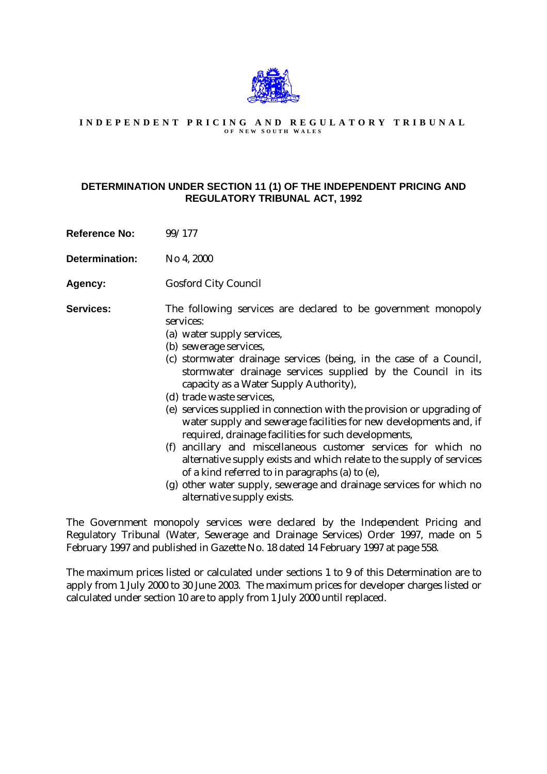

#### **INDEPENDENT PRICING AND REGULATORY TRIBUNAL O F N EW S OUTH W ALES**

#### **DETERMINATION UNDER SECTION 11 (1) OF THE INDEPENDENT PRICING AND REGULATORY TRIBUNAL ACT, 1992**

Reference No: 99/177

**Determination:** No 4, 2000

**Agency:** Gosford City Council

**Services:** The following services are declared to be government monopoly services:

- (a) water supply services,
- (b) sewerage services,
- (c) stormwater drainage services (being, in the case of a Council, stormwater drainage services supplied by the Council in its capacity as a Water Supply Authority),
- (d) trade waste services,
- (e) services supplied in connection with the provision or upgrading of water supply and sewerage facilities for new developments and, if required, drainage facilities for such developments,
- (f) ancillary and miscellaneous customer services for which no alternative supply exists and which relate to the supply of services of a kind referred to in paragraphs (a) to (e),
- (g) other water supply, sewerage and drainage services for which no alternative supply exists.

The Government monopoly services were declared by the Independent Pricing and Regulatory Tribunal (Water, Sewerage and Drainage Services) Order 1997, made on 5 February 1997 and published in Gazette No. 18 dated 14 February 1997 at page 558.

The maximum prices listed or calculated under sections 1 to 9 of this Determination are to apply from 1 July 2000 to 30 June 2003. The maximum prices for developer charges listed or calculated under section 10 are to apply from 1 July 2000 until replaced.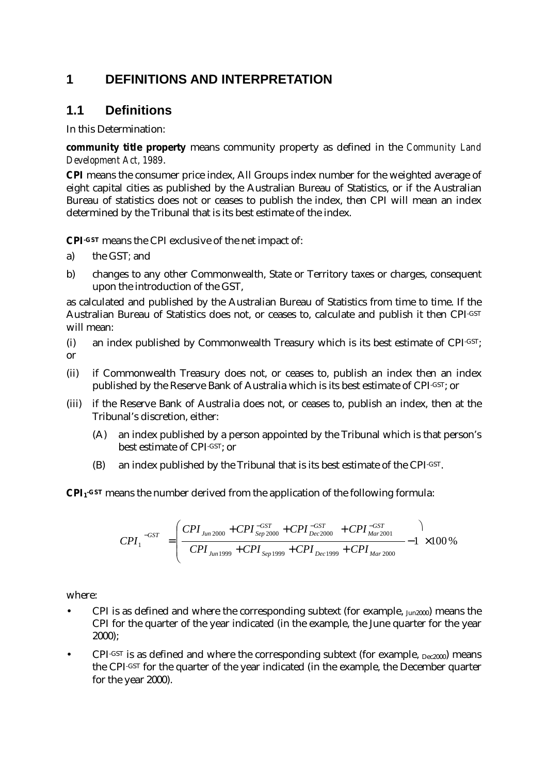# **1 DEFINITIONS AND INTERPRETATION**

### **1.1 Definitions**

In this Determination:

**community title property** means community property as defined in the *Community Land Development Act, 1989*.

**CPI** means the consumer price index, All Groups index number for the weighted average of eight capital cities as published by the Australian Bureau of Statistics, or if the Australian Bureau of statistics does not or ceases to publish the index, then CPI will mean an index determined by the Tribunal that is its best estimate of the index.

**CPI-GST** means the CPI exclusive of the net impact of:

- a) the GST*;* and
- b) changes to any other Commonwealth, State or Territory taxes or charges, consequent upon the introduction of the GST,

as calculated and published by the Australian Bureau of Statistics from time to time. If the Australian Bureau of Statistics does not, or ceases to, calculate and publish it then CPI-GST will mean:

- (i) an index published by Commonwealth Treasury which is its best estimate of CPI-GST; or
- (ii) if Commonwealth Treasury does not, or ceases to, publish an index then an index published by the Reserve Bank of Australia which is its best estimate of CPI-GST; or
- (iii) if the Reserve Bank of Australia does not, or ceases to, publish an index, then at the Tribunal's discretion, either:
	- (A) an index published by a person appointed by the Tribunal which is that person's best estimate of CPI-GST; or
	- (B) an index published by the Tribunal that is its best estimate of the CPI-GST.

**CPI1-GST** means the number derived from the application of the following formula:

$$
CPI_1^{-GST} = \left(\frac{CPI_{\text{Jun 2000}} + CPI_{\text{Sep 2000}}^{-GST} + CPI_{\text{Dec 2000}}^{-GST} + CPI_{\text{Mar 2001}}^{-GST}}{CPI_{\text{Jun 1999}} + CPI_{\text{Sep 1999}} + CPI_{\text{Dec 1999}} + CPI_{\text{Mar 2000}}} - 1 \right) \times 100\%
$$

where:

- CPI is as defined and where the corresponding subtext (for example, Jun2000) means the CPI for the quarter of the year indicated (in the example, the June quarter for the year 2000);
- CPI-GST is as defined and where the corresponding subtext (for example,  $D_{ee}$ 2000) means the CPI-GST for the quarter of the year indicated (in the example, the December quarter for the year 2000).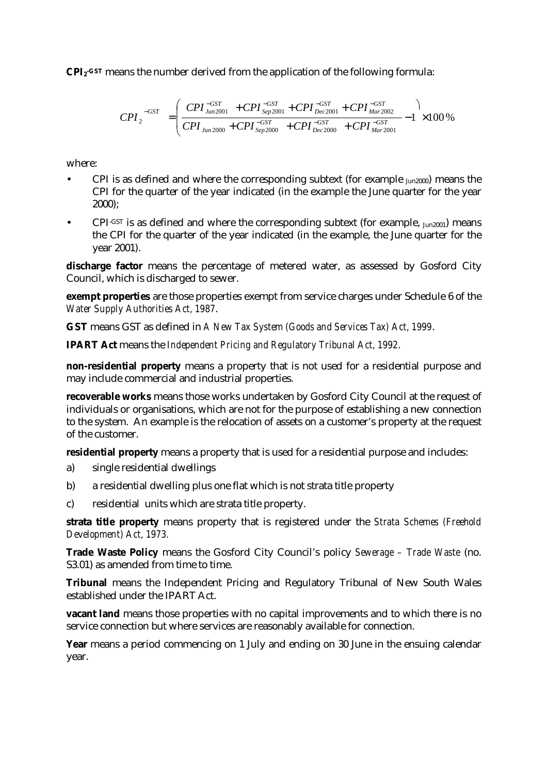**CPI2-GST** means the number derived from the application of the following formula:

$$
CPI_{2}^{-GST} = \left(\frac{CPI_{Jun2001}^{-GST} + CPI_{Sep2001}^{-GST} + CPI_{Dec2001}^{-GST} + CPI_{Mar2002}^{-GST}}{CPI_{Jun2000} + CPI_{Sep2000}^{-GST} + CPI_{Dec2000}^{-GST} + CPI_{Mar2001}^{-GST}} - 1\right) \times 100\%
$$

where:

- CPI is as defined and where the corresponding subtext (for example  $_{Jun2000}$ ) means the CPI for the quarter of the year indicated (in the example the June quarter for the year 2000);
- $\text{CPI-GST}$  is as defined and where the corresponding subtext (for example,  $_{\text{Jun2001}}$ ) means the CPI for the quarter of the year indicated (in the example, the June quarter for the year 2001).

discharge factor means the percentage of metered water, as assessed by Gosford City Council, which is discharged to sewer.

**exempt properties** are those properties exempt from service charges under Schedule 6 of the *Water Supply Authorities Act, 1987*.

**GST** means GST as defined in *A New Tax System (Goods and Services Tax) Act, 1999*.

**IPART Act** means the *Independent Pricing and Regulatory Tribunal Act, 1992*.

**non-residential property** means a property that is not used for a residential purpose and may include commercial and industrial properties.

**recoverable works** means those works undertaken by Gosford City Council at the request of individuals or organisations, which are not for the purpose of establishing a new connection to the system. An example is the relocation of assets on a customer's property at the request of the customer.

**residential property** means a property that is used for a residential purpose and includes:

- a) single residential dwellings
- b) a residential dwelling plus one flat which is not strata title property
- c) residential units which are strata title property.

**strata title property** means property that is registered under the *Strata Schemes (Freehold Development) Act, 1973.*

**Trade Waste Policy** means the Gosford City Council's policy *Sewerage – Trade Waste* (no. S3.01) as amended from time to time.

**Tribunal** means the Independent Pricing and Regulatory Tribunal of New South Wales established under the IPART Act.

**vacant land** means those properties with no capital improvements and to which there is no service connection but where services are reasonably available for connection.

**Year** means a period commencing on 1 July and ending on 30 June in the ensuing calendar year.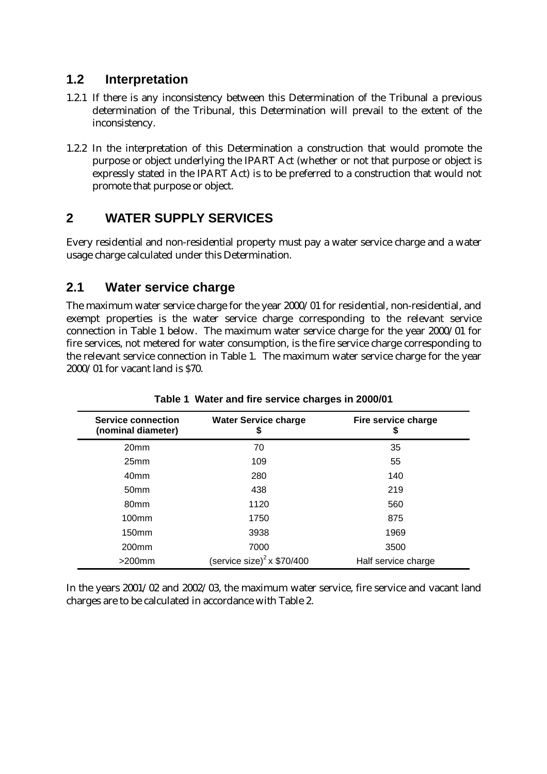### **1.2 Interpretation**

- 1.2.1 If there is any inconsistency between this Determination of the Tribunal a previous determination of the Tribunal, this Determination will prevail to the extent of the inconsistency.
- 1.2.2 In the interpretation of this Determination a construction that would promote the purpose or object underlying the IPART Act (whether or not that purpose or object is expressly stated in the IPART Act) is to be preferred to a construction that would not promote that purpose or object.

# **2 WATER SUPPLY SERVICES**

Every residential and non-residential property must pay a water service charge and a water usage charge calculated under this Determination.

### **2.1 Water service charge**

The maximum water service charge for the year 2000/01 for residential, non-residential, and exempt properties is the water service charge corresponding to the relevant service connection in Table 1 below. The maximum water service charge for the year 2000/01 for fire services, not metered for water consumption, is the fire service charge corresponding to the relevant service connection in Table 1. The maximum water service charge for the year 2000/01 for vacant land is \$70.

| <b>Service connection</b><br>(nominal diameter) | <b>Water Service charge</b><br>\$ | Fire service charge<br>\$ |
|-------------------------------------------------|-----------------------------------|---------------------------|
| 20 <sub>mm</sub>                                | 70                                | 35                        |
| 25 <sub>mm</sub>                                | 109                               | 55                        |
| 40 <sub>mm</sub>                                | 280                               | 140                       |
| 50 <sub>mm</sub>                                | 438                               | 219                       |
| 80 <sub>mm</sub>                                | 1120                              | 560                       |
| 100 <sub>mm</sub>                               | 1750                              | 875                       |
| 150 <sub>mm</sub>                               | 3938                              | 1969                      |
| 200 <sub>mm</sub>                               | 7000                              | 3500                      |
| $>200$ mm                                       | (service size) $^2$ x \$70/400    | Half service charge       |

#### **Table 1 Water and fire service charges in 2000/01**

In the years 2001/02 and 2002/03, the maximum water service, fire service and vacant land charges are to be calculated in accordance with Table 2.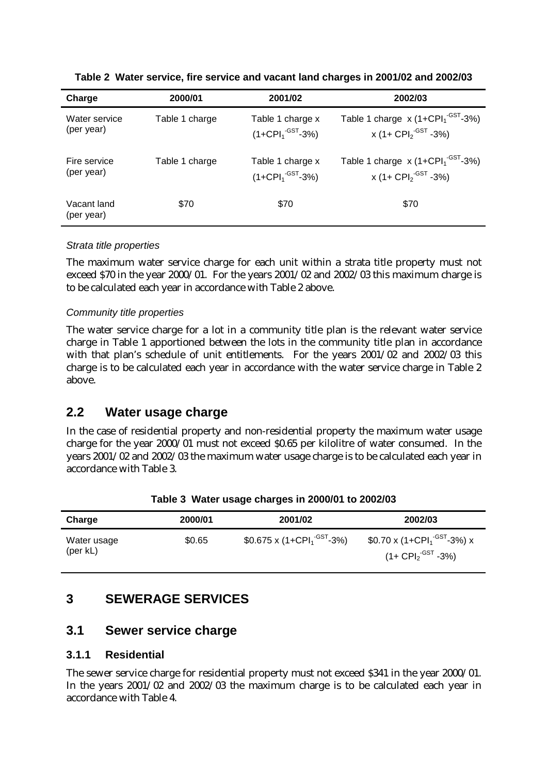| Charge                    | 2000/01        | 2001/02                               | 2002/03                                     |
|---------------------------|----------------|---------------------------------------|---------------------------------------------|
| Water service             | Table 1 charge | Table 1 charge x                      | Table 1 charge $x(1+CPI1-GST-3%)$           |
| (per year)                |                | $(1+{\rm CPI}_1^{\text{-GST}}-3\%)$   | x (1+ CPI <sub>2</sub> <sup>-GST</sup> -3%) |
| Fire service              | Table 1 charge | Table 1 charge x                      | Table 1 charge $x(1+CPI1-GST-3%)$           |
| (per year)                |                | $(1+{\rm CPI}_{1}^{\text{-GST}}-3\%)$ | x (1+ CPI <sub>2</sub> <sup>-GST</sup> -3%) |
| Vacant land<br>(per year) | \$70           | \$70                                  | \$70                                        |

**Table 2 Water service, fire service and vacant land charges in 2001/02 and 2002/03**

#### *Strata title properties*

The maximum water service charge for each unit within a strata title property must not exceed \$70 in the year 2000/01. For the years 2001/02 and 2002/03 this maximum charge is to be calculated each year in accordance with Table 2 above.

#### *Community title properties*

The water service charge for a lot in a community title plan is the relevant water service charge in Table 1 apportioned between the lots in the community title plan in accordance with that plan's schedule of unit entitlements. For the years 2001/02 and 2002/03 this charge is to be calculated each year in accordance with the water service charge in Table 2 above.

### **2.2 Water usage charge**

In the case of residential property and non-residential property the maximum water usage charge for the year 2000/01 must not exceed \$0.65 per kilolitre of water consumed. In the years 2001/02 and 2002/03 the maximum water usage charge is to be calculated each year in accordance with Table 3.

| Charge                  | 2000/01 | 2001/02                                               | 2002/03                                                                                                              |
|-------------------------|---------|-------------------------------------------------------|----------------------------------------------------------------------------------------------------------------------|
| Water usage<br>(per kL) | \$0.65  | $$0.675 \times (1 + CPl_1 \textsuperscript{-GST}-3%)$ | $$0.70 \times (1 + \text{CPI}_1^{\cdot \text{GST}} - 3\%) \times$<br>$(1 + \text{CPI}_{2}^{\cdot \text{GST}} - 3\%)$ |

|  | Table 3 Water usage charges in 2000/01 to 2002/03 |  |  |
|--|---------------------------------------------------|--|--|
|  |                                                   |  |  |

### **3 SEWERAGE SERVICES**

### **3.1 Sewer service charge**

#### **3.1.1 Residential**

The sewer service charge for residential property must not exceed \$341 in the year 2000/01. In the years 2001/02 and 2002/03 the maximum charge is to be calculated each year in accordance with Table 4.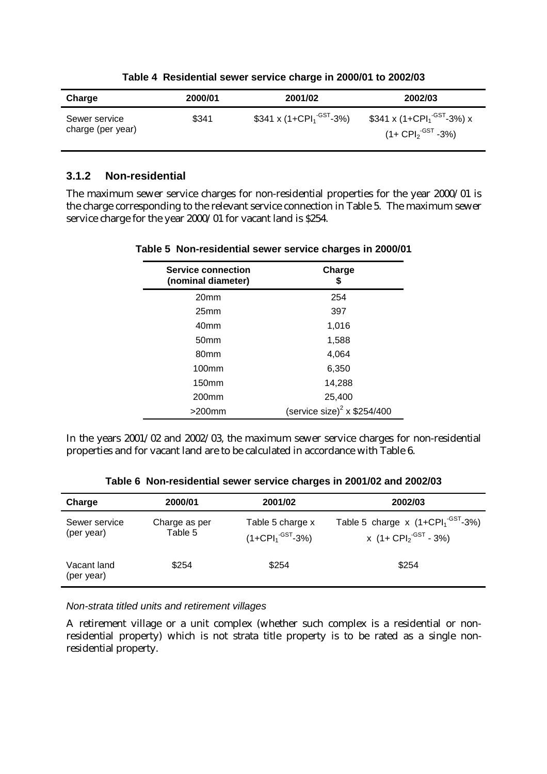| Charge                             | 2000/01 | 2001/02                                          | 2002/03                                                                                         |
|------------------------------------|---------|--------------------------------------------------|-------------------------------------------------------------------------------------------------|
| Sewer service<br>charge (per year) | \$341   | \$341 x (1+CPI <sub>1</sub> <sup>-GST</sup> -3%) | \$341 x (1+CPI <sub>1</sub> <sup>-GST</sup> -3%) x<br>(1+ CPI <sub>2</sub> <sup>-GST</sup> -3%) |

#### **Table 4 Residential sewer service charge in 2000/01 to 2002/03**

#### **3.1.2 Non-residential**

The maximum sewer service charges for non-residential properties for the year 2000/01 is the charge corresponding to the relevant service connection in Table 5. The maximum sewer service charge for the year 2000/01 for vacant land is \$254.

| <b>Service connection</b><br>(nominal diameter) | Charge<br>5                             |
|-------------------------------------------------|-----------------------------------------|
| 20 <sub>mm</sub>                                | 254                                     |
| 25 <sub>mm</sub>                                | 397                                     |
| 40 <sub>mm</sub>                                | 1,016                                   |
| 50 <sub>mm</sub>                                | 1,588                                   |
| 80 <sub>mm</sub>                                | 4,064                                   |
| 100 <sub>mm</sub>                               | 6,350                                   |
| 150 <sub>mm</sub>                               | 14,288                                  |
| 200mm                                           | 25,400                                  |
| $>200$ mm                                       | (service size) <sup>2</sup> x \$254/400 |

#### **Table 5 Non-residential sewer service charges in 2000/01**

In the years 2001/02 and 2002/03, the maximum sewer service charges for non-residential properties and for vacant land are to be calculated in accordance with Table 6.

| Charge                      | 2000/01                  | 2001/02                                                   | 2002/03                                                                                                      |
|-----------------------------|--------------------------|-----------------------------------------------------------|--------------------------------------------------------------------------------------------------------------|
| Sewer service<br>(per year) | Charge as per<br>Table 5 | Table 5 charge x<br>$(1+{\rm CPI}_{1}^{\text{-GST}}-3\%)$ | Table 5 charge $x$ (1+CPI <sub>1</sub> <sup>-GST</sup> -3%)<br>x $(1 + \text{CPI}_2 \cdot \text{GST} - 3\%)$ |
| Vacant land<br>(per year)   | \$254                    | \$254                                                     | \$254                                                                                                        |

**Table 6 Non-residential sewer service charges in 2001/02 and 2002/03**

*Non-strata titled units and retirement villages*

A retirement village or a unit complex (whether such complex is a residential or nonresidential property) which is not strata title property is to be rated as a single nonresidential property.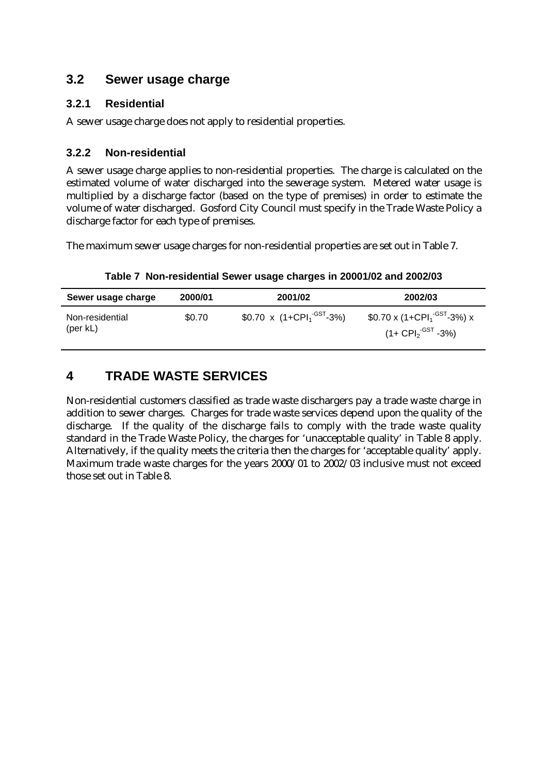### **3.2 Sewer usage charge**

### **3.2.1 Residential**

A sewer usage charge does not apply to residential properties.

### **3.2.2 Non-residential**

A sewer usage charge applies to non-residential properties. The charge is calculated on the estimated volume of water discharged into the sewerage system. Metered water usage is multiplied by a discharge factor (based on the type of premises) in order to estimate the volume of water discharged. Gosford City Council must specify in the Trade Waste Policy a discharge factor for each type of premises.

The maximum sewer usage charges for non-residential properties are set out in Table 7.

**Table 7 Non-residential Sewer usage charges in 20001/02 and 2002/03**

| Sewer usage charge                    | 2000/01 | 2001/02                    | 2002/03                                                                                                     |
|---------------------------------------|---------|----------------------------|-------------------------------------------------------------------------------------------------------------|
| Non-residential<br>$(\text{per } kL)$ | \$0.70  | \$0.70 x $(1+CPI1-GST-3%)$ | $$0.70 \times (1 + \text{CPI}_1^{\cdot \text{GST}} - 3\%) \times$<br>(1+ $\mathsf{CPI_2}^\mathsf{GST}$ -3%) |

# **4 TRADE WASTE SERVICES**

Non-residential customers classified as trade waste dischargers pay a trade waste charge in addition to sewer charges. Charges for trade waste services depend upon the quality of the discharge. If the quality of the discharge fails to comply with the trade waste quality standard in the Trade Waste Policy, the charges for 'unacceptable quality' in Table 8 apply. Alternatively, if the quality meets the criteria then the charges for 'acceptable quality' apply. Maximum trade waste charges for the years 2000/01 to 2002/03 inclusive must not exceed those set out in Table 8.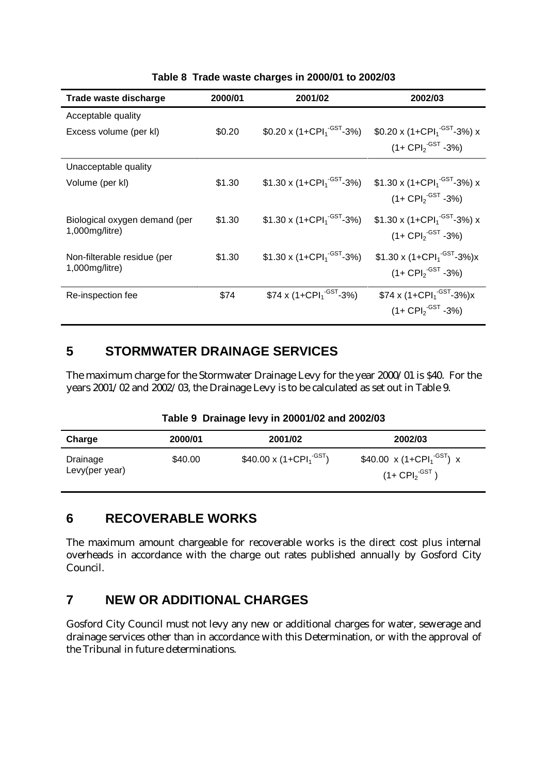| Trade waste discharge         | 2000/01 | 2001/02                                                    | 2002/03                                             |
|-------------------------------|---------|------------------------------------------------------------|-----------------------------------------------------|
| Acceptable quality            |         |                                                            |                                                     |
| Excess volume (per kl)        | \$0.20  | \$0.20 x $(1+CPI1-GST-3%)$                                 | \$0.20 x (1+CPI <sub>1</sub> <sup>-GST</sup> -3%) x |
|                               |         |                                                            | $(1 + \text{CPI}_{2}^{\cdot \text{GST}} - 3\%)$     |
| Unacceptable quality          |         |                                                            |                                                     |
| Volume (per kl)               | \$1.30  | \$1.30 x (1+CPI <sub>1</sub> <sup>-GST</sup> -3%)          | \$1.30 x (1+CPI <sub>1</sub> <sup>-GST</sup> -3%) x |
|                               |         |                                                            | $(1 + \text{CPI}_2 \cdot \text{GST} - 3\%)$         |
| Biological oxygen demand (per | \$1.30  | $$1.30 \times (1 + \text{CPI}_1^{\cdot \text{GST}} - 3\%)$ | \$1.30 x (1+CPI <sub>1</sub> <sup>-GST</sup> -3%) x |
| 1,000mg/litre)                |         |                                                            | $(1 + \text{CPI}_{2}^{\cdot \text{GST}} - 3\%)$     |
| Non-filterable residue (per   | \$1.30  | \$1.30 x $(1+CPI1-GST-3%)$                                 | \$1.30 x $(1+CPI1-GST-3%)x$                         |
| 1,000mg/litre)                |         |                                                            | $(1 + \text{CPI}_{2}^{\text{-GST}} - 3\%)$          |
|                               |         |                                                            |                                                     |
| Re-inspection fee             | \$74    | \$74 x (1+CPI <sub>1</sub> <sup>-GST</sup> -3%)            | \$74 x $(1+CPI1-GST-3%)x$                           |
|                               |         |                                                            | $(1 + \text{CPI}_{2}^{\cdot \text{GST}} - 3\%)$     |

**Table 8 Trade waste charges in 2000/01 to 2002/03**

### **5 STORMWATER DRAINAGE SERVICES**

The maximum charge for the Stormwater Drainage Levy for the year 2000/01 is \$40. For the years 2001/02 and 2002/03, the Drainage Levy is to be calculated as set out in Table 9.

|  |  |  |  |  | Table 9 Drainage levy in 20001/02 and 2002/03 |
|--|--|--|--|--|-----------------------------------------------|
|--|--|--|--|--|-----------------------------------------------|

| Charge                     | 2000/01 | 2001/02                          | 2002/03                                                                            |
|----------------------------|---------|----------------------------------|------------------------------------------------------------------------------------|
| Drainage<br>Levy(per year) | \$40.00 | $$40.00 \times (1+CPI_1^{-GST})$ | $$40.00 \times (1+CPI_1^{-GST}) \times$<br>$(1 + \text{CPI}_2^{\cdot \text{GST}})$ |

### **6 RECOVERABLE WORKS**

The maximum amount chargeable for recoverable works is the direct cost plus internal overheads in accordance with the charge out rates published annually by Gosford City Council.

# **7 NEW OR ADDITIONAL CHARGES**

Gosford City Council must not levy any new or additional charges for water, sewerage and drainage services other than in accordance with this Determination, or with the approval of the Tribunal in future determinations.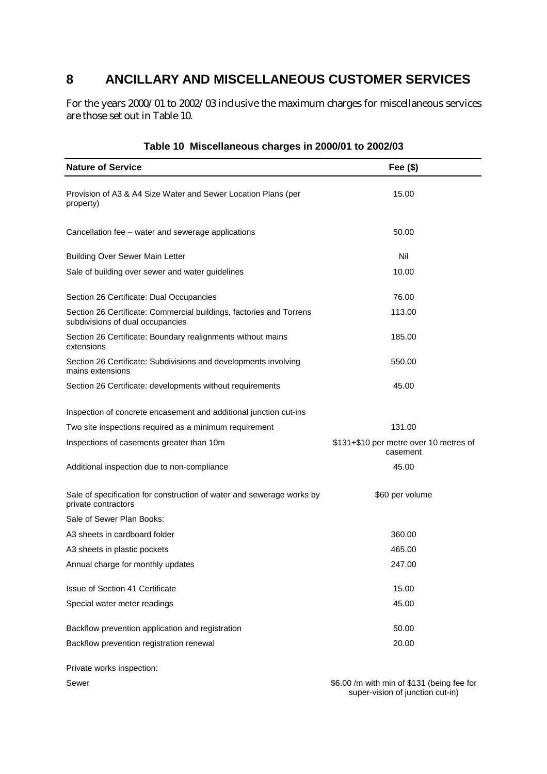# **8 ANCILLARY AND MISCELLANEOUS CUSTOMER SERVICES**

For the years 2000/01 to 2002/03 inclusive the maximum charges for miscellaneous services are those set out in Table 10.

| <b>Nature of Service</b>                                                                                | Fee $($)$                                          |
|---------------------------------------------------------------------------------------------------------|----------------------------------------------------|
| Provision of A3 & A4 Size Water and Sewer Location Plans (per<br>property)                              | 15.00                                              |
| Cancellation fee – water and sewerage applications                                                      | 50.00                                              |
| <b>Building Over Sewer Main Letter</b>                                                                  | Nil                                                |
| Sale of building over sewer and water guidelines                                                        | 10.00                                              |
| Section 26 Certificate: Dual Occupancies                                                                | 76.00                                              |
| Section 26 Certificate: Commercial buildings, factories and Torrens<br>subdivisions of dual occupancies | 113.00                                             |
| Section 26 Certificate: Boundary realignments without mains<br>extensions                               | 185.00                                             |
| Section 26 Certificate: Subdivisions and developments involving<br>mains extensions                     | 550.00                                             |
| Section 26 Certificate: developments without requirements                                               | 45.00                                              |
| Inspection of concrete encasement and additional junction cut-ins                                       |                                                    |
| Two site inspections required as a minimum requirement                                                  | 131.00                                             |
| Inspections of casements greater than 10m                                                               | \$131+\$10 per metre over 10 metres of<br>casement |
| Additional inspection due to non-compliance                                                             | 45.00                                              |
| Sale of specification for construction of water and sewerage works by<br>private contractors            | \$60 per volume                                    |
| Sale of Sewer Plan Books:                                                                               |                                                    |
| A3 sheets in cardboard folder                                                                           | 360.00                                             |
| A3 sheets in plastic pockets                                                                            | 465.00                                             |
| Annual charge for monthly updates                                                                       | 247.00                                             |
| Issue of Section 41 Certificate                                                                         | 15.00                                              |
| Special water meter readings                                                                            | 45.00                                              |
| Backflow prevention application and registration                                                        | 50.00                                              |
| Backflow prevention registration renewal                                                                | 20.00                                              |

#### **Table 10 Miscellaneous charges in 2000/01 to 2002/03**

Private works inspection:

Sewer \$6.00 /m with min of \$131 (being fee for super-vision of junction cut-in)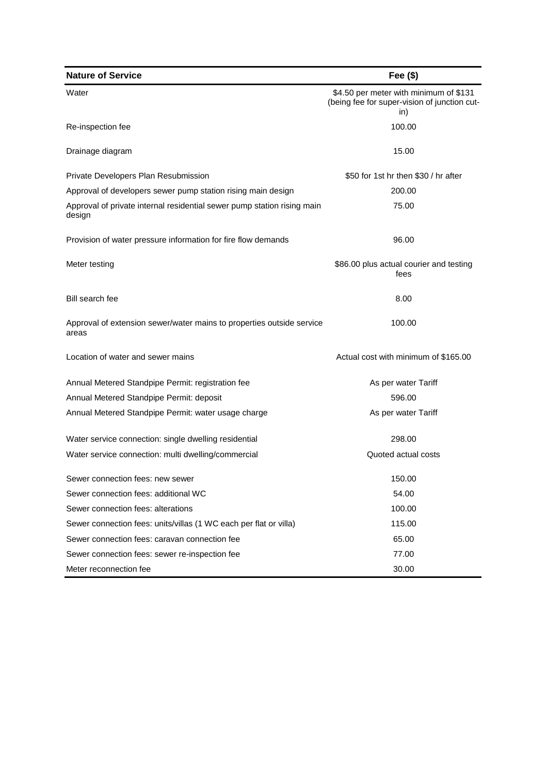| <b>Nature of Service</b>                                                          | Fee $($)$                                                                                     |
|-----------------------------------------------------------------------------------|-----------------------------------------------------------------------------------------------|
| Water                                                                             | \$4.50 per meter with minimum of \$131<br>(being fee for super-vision of junction cut-<br>in) |
| Re-inspection fee                                                                 | 100.00                                                                                        |
| Drainage diagram                                                                  | 15.00                                                                                         |
| Private Developers Plan Resubmission                                              | \$50 for 1st hr then \$30 / hr after                                                          |
| Approval of developers sewer pump station rising main design                      | 200.00                                                                                        |
| Approval of private internal residential sewer pump station rising main<br>design | 75.00                                                                                         |
| Provision of water pressure information for fire flow demands                     | 96.00                                                                                         |
| Meter testing                                                                     | \$86.00 plus actual courier and testing<br>fees                                               |
| Bill search fee                                                                   | 8.00                                                                                          |
| Approval of extension sewer/water mains to properties outside service<br>areas    | 100.00                                                                                        |
| Location of water and sewer mains                                                 | Actual cost with minimum of \$165.00                                                          |
| Annual Metered Standpipe Permit: registration fee                                 | As per water Tariff                                                                           |
| Annual Metered Standpipe Permit: deposit                                          | 596.00                                                                                        |
| Annual Metered Standpipe Permit: water usage charge                               | As per water Tariff                                                                           |
| Water service connection: single dwelling residential                             | 298.00                                                                                        |
| Water service connection: multi dwelling/commercial                               | Quoted actual costs                                                                           |
| Sewer connection fees: new sewer                                                  | 150.00                                                                                        |
| Sewer connection fees: additional WC                                              | 54.00                                                                                         |
| Sewer connection fees: alterations                                                | 100.00                                                                                        |
| Sewer connection fees: units/villas (1 WC each per flat or villa)                 | 115.00                                                                                        |
| Sewer connection fees: caravan connection fee                                     | 65.00                                                                                         |
| Sewer connection fees: sewer re-inspection fee                                    | 77.00                                                                                         |
| Meter reconnection fee                                                            | 30.00                                                                                         |